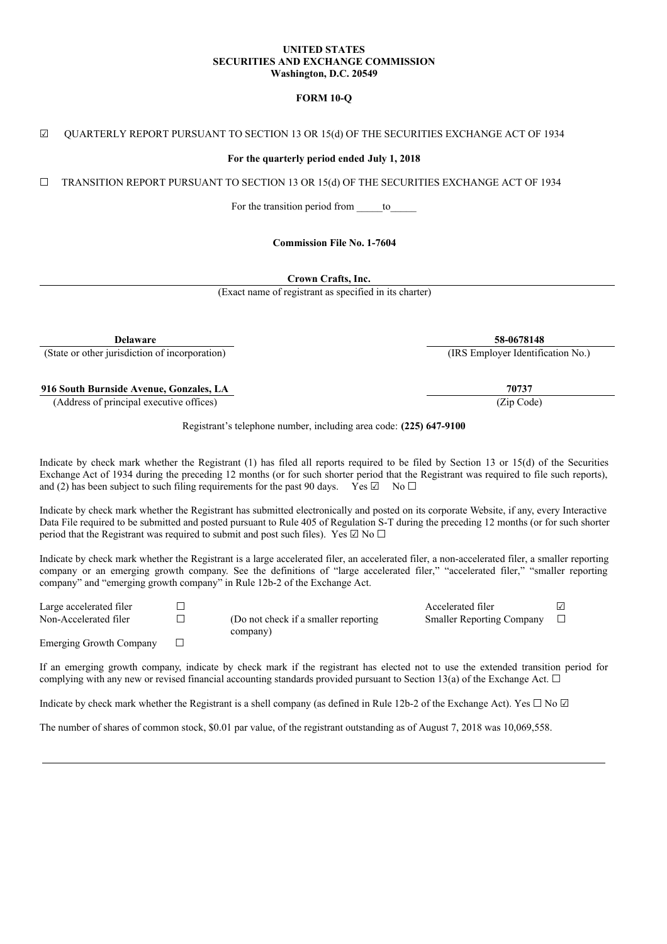### **UNITED STATES SECURITIES AND EXCHANGE COMMISSION Washington, D.C. 20549**

## **FORM 10-Q**

☑ QUARTERLY REPORT PURSUANT TO SECTION 13 OR 15(d) OF THE SECURITIES EXCHANGE ACT OF 1934

#### **For the quarterly period ended July 1, 2018**

☐ TRANSITION REPORT PURSUANT TO SECTION 13 OR 15(d) OF THE SECURITIES EXCHANGE ACT OF 1934

For the transition period from to

## **Commission File No. 1-7604**

**Crown Crafts, Inc.**

(Exact name of registrant as specified in its charter)

(State or other jurisdiction of incorporation) (IRS Employer Identification No.)

**916 South Burnside Avenue, Gonzales, LA 70737**

(Address of principal executive offices) (Zip Code)

Registrant's telephone number, including area code: **(225) 647-9100**

Indicate by check mark whether the Registrant (1) has filed all reports required to be filed by Section 13 or 15(d) of the Securities Exchange Act of 1934 during the preceding 12 months (or for such shorter period that the Registrant was required to file such reports), and (2) has been subject to such filing requirements for the past 90 days. Yes  $\boxtimes$  No  $\Box$ 

Indicate by check mark whether the Registrant has submitted electronically and posted on its corporate Website, if any, every Interactive Data File required to be submitted and posted pursuant to Rule 405 of Regulation S-T during the preceding 12 months (or for such shorter period that the Registrant was required to submit and post such files). Yes  $\Box$  No  $\Box$ 

Indicate by check mark whether the Registrant is a large accelerated filer, an accelerated filer, a non-accelerated filer, a smaller reporting company or an emerging growth company. See the definitions of "large accelerated filer," "accelerated filer," "smaller reporting company" and "emerging growth company" in Rule 12b-2 of the Exchange Act.

| Large accelerated filer        |                                       | Accelerated filer                |  |
|--------------------------------|---------------------------------------|----------------------------------|--|
| Non-Accelerated filer          | (Do not check if a smaller reporting) | <b>Smaller Reporting Company</b> |  |
|                                | company)                              |                                  |  |
| <b>Emerging Growth Company</b> |                                       |                                  |  |

If an emerging growth company, indicate by check mark if the registrant has elected not to use the extended transition period for complying with any new or revised financial accounting standards provided pursuant to Section 13(a) of the Exchange Act.  $\Box$ 

Indicate by check mark whether the Registrant is a shell company (as defined in Rule 12b-2 of the Exchange Act). Yes  $\Box$  No  $\Box$ 

The number of shares of common stock, \$0.01 par value, of the registrant outstanding as of August 7, 2018 was 10,069,558.

**Delaware 58-0678148**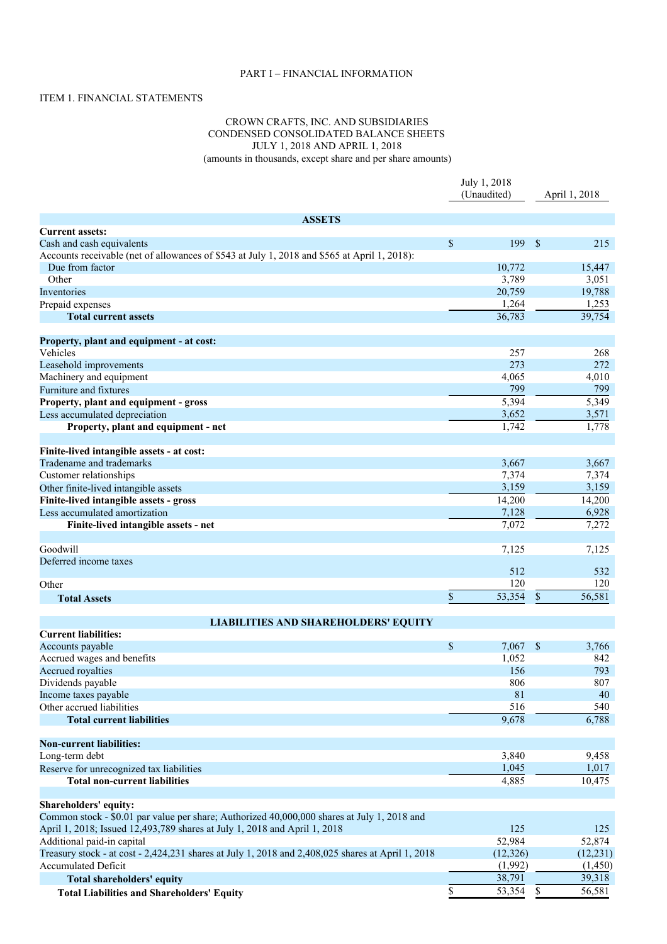# PART I – FINANCIAL INFORMATION

# ITEM 1. FINANCIAL STATEMENTS

## CROWN CRAFTS, INC. AND SUBSIDIARIES CONDENSED CONSOLIDATED BALANCE SHEETS JULY 1, 2018 AND APRIL 1, 2018 (amounts in thousands, except share and per share amounts)

| <b>ASSETS</b><br><b>Current assets:</b><br>$\mathcal{S}$<br>Cash and cash equivalents<br>199<br>$\mathcal{S}$<br>215<br>Accounts receivable (net of allowances of \$543 at July 1, 2018 and \$565 at April 1, 2018):<br>Due from factor<br>10,772<br>15,447<br>Other<br>3,789<br>3,051<br>20,759<br>19,788<br>Inventories<br>1,264<br>1,253<br>Prepaid expenses<br>39,754<br>36,783<br><b>Total current assets</b><br>Property, plant and equipment - at cost:<br>Vehicles<br>257<br>268<br>273<br>272<br>Leasehold improvements<br>Machinery and equipment<br>4,065<br>4,010<br>799<br>799<br>Furniture and fixtures<br>5,394<br>5,349<br>Property, plant and equipment - gross<br>3,571<br>3,652<br>Less accumulated depreciation<br>1,742<br>1,778<br>Property, plant and equipment - net<br>Finite-lived intangible assets - at cost:<br>Tradename and trademarks<br>3,667<br>3,667<br>7,374<br>Customer relationships<br>7,374<br>3,159<br>3,159<br>Other finite-lived intangible assets<br>14,200<br>14,200<br>Finite-lived intangible assets - gross<br>7,128<br>6,928<br>Less accumulated amortization<br>7,072<br>7,272<br>Finite-lived intangible assets - net<br>Goodwill<br>7,125<br>7,125<br>Deferred income taxes<br>512<br>532<br>120<br>120<br>Other<br>$\$$<br>53,354<br>$\mathbb{S}$<br>56,581<br><b>Total Assets</b><br><b>LIABILITIES AND SHAREHOLDERS' EQUITY</b><br><b>Current liabilities:</b><br>$\boldsymbol{\mathsf{S}}$<br>7,067<br>Accounts payable<br>$\mathcal{S}$<br>3,766<br>Accrued wages and benefits<br>1,052<br>842<br>793<br>Accrued royalties<br>156<br>807<br>Dividends payable<br>806<br>Income taxes payable<br>81<br>40<br>516<br>Other accrued liabilities<br>540<br>9,678<br>6,788<br><b>Total current liabilities</b><br><b>Non-current liabilities:</b><br>Long-term debt<br>3,840<br>9,458<br>1,017<br>Reserve for unrecognized tax liabilities<br>1,045<br><b>Total non-current liabilities</b><br>4,885<br>10,475<br>Shareholders' equity:<br>Common stock - \$0.01 par value per share; Authorized 40,000,000 shares at July 1, 2018 and<br>April 1, 2018; Issued 12,493,789 shares at July 1, 2018 and April 1, 2018<br>125<br>125<br>52,984<br>52,874<br>Additional paid-in capital<br>Treasury stock - at cost - 2,424,231 shares at July 1, 2018 and 2,408,025 shares at April 1, 2018<br>(12, 326)<br>(12, 231)<br><b>Accumulated Deficit</b><br>(1,992)<br>(1,450)<br>38,791<br>39,318<br>Total shareholders' equity<br>56,581<br>\$<br>53,354<br>\$<br><b>Total Liabilities and Shareholders' Equity</b> |  | July 1, 2018<br>(Unaudited) |  | April 1, 2018 |
|-------------------------------------------------------------------------------------------------------------------------------------------------------------------------------------------------------------------------------------------------------------------------------------------------------------------------------------------------------------------------------------------------------------------------------------------------------------------------------------------------------------------------------------------------------------------------------------------------------------------------------------------------------------------------------------------------------------------------------------------------------------------------------------------------------------------------------------------------------------------------------------------------------------------------------------------------------------------------------------------------------------------------------------------------------------------------------------------------------------------------------------------------------------------------------------------------------------------------------------------------------------------------------------------------------------------------------------------------------------------------------------------------------------------------------------------------------------------------------------------------------------------------------------------------------------------------------------------------------------------------------------------------------------------------------------------------------------------------------------------------------------------------------------------------------------------------------------------------------------------------------------------------------------------------------------------------------------------------------------------------------------------------------------------------------------------------------------------------------------------------------------------------------------------------------------------------------------------------------------------------------------------------------------------------------------------------------------------------------------------------------------------------------------------------------------------------------------------------------------------------------------------------------------------------------------------|--|-----------------------------|--|---------------|
|                                                                                                                                                                                                                                                                                                                                                                                                                                                                                                                                                                                                                                                                                                                                                                                                                                                                                                                                                                                                                                                                                                                                                                                                                                                                                                                                                                                                                                                                                                                                                                                                                                                                                                                                                                                                                                                                                                                                                                                                                                                                                                                                                                                                                                                                                                                                                                                                                                                                                                                                                                   |  |                             |  |               |
|                                                                                                                                                                                                                                                                                                                                                                                                                                                                                                                                                                                                                                                                                                                                                                                                                                                                                                                                                                                                                                                                                                                                                                                                                                                                                                                                                                                                                                                                                                                                                                                                                                                                                                                                                                                                                                                                                                                                                                                                                                                                                                                                                                                                                                                                                                                                                                                                                                                                                                                                                                   |  |                             |  |               |
|                                                                                                                                                                                                                                                                                                                                                                                                                                                                                                                                                                                                                                                                                                                                                                                                                                                                                                                                                                                                                                                                                                                                                                                                                                                                                                                                                                                                                                                                                                                                                                                                                                                                                                                                                                                                                                                                                                                                                                                                                                                                                                                                                                                                                                                                                                                                                                                                                                                                                                                                                                   |  |                             |  |               |
|                                                                                                                                                                                                                                                                                                                                                                                                                                                                                                                                                                                                                                                                                                                                                                                                                                                                                                                                                                                                                                                                                                                                                                                                                                                                                                                                                                                                                                                                                                                                                                                                                                                                                                                                                                                                                                                                                                                                                                                                                                                                                                                                                                                                                                                                                                                                                                                                                                                                                                                                                                   |  |                             |  |               |
|                                                                                                                                                                                                                                                                                                                                                                                                                                                                                                                                                                                                                                                                                                                                                                                                                                                                                                                                                                                                                                                                                                                                                                                                                                                                                                                                                                                                                                                                                                                                                                                                                                                                                                                                                                                                                                                                                                                                                                                                                                                                                                                                                                                                                                                                                                                                                                                                                                                                                                                                                                   |  |                             |  |               |
|                                                                                                                                                                                                                                                                                                                                                                                                                                                                                                                                                                                                                                                                                                                                                                                                                                                                                                                                                                                                                                                                                                                                                                                                                                                                                                                                                                                                                                                                                                                                                                                                                                                                                                                                                                                                                                                                                                                                                                                                                                                                                                                                                                                                                                                                                                                                                                                                                                                                                                                                                                   |  |                             |  |               |
|                                                                                                                                                                                                                                                                                                                                                                                                                                                                                                                                                                                                                                                                                                                                                                                                                                                                                                                                                                                                                                                                                                                                                                                                                                                                                                                                                                                                                                                                                                                                                                                                                                                                                                                                                                                                                                                                                                                                                                                                                                                                                                                                                                                                                                                                                                                                                                                                                                                                                                                                                                   |  |                             |  |               |
|                                                                                                                                                                                                                                                                                                                                                                                                                                                                                                                                                                                                                                                                                                                                                                                                                                                                                                                                                                                                                                                                                                                                                                                                                                                                                                                                                                                                                                                                                                                                                                                                                                                                                                                                                                                                                                                                                                                                                                                                                                                                                                                                                                                                                                                                                                                                                                                                                                                                                                                                                                   |  |                             |  |               |
|                                                                                                                                                                                                                                                                                                                                                                                                                                                                                                                                                                                                                                                                                                                                                                                                                                                                                                                                                                                                                                                                                                                                                                                                                                                                                                                                                                                                                                                                                                                                                                                                                                                                                                                                                                                                                                                                                                                                                                                                                                                                                                                                                                                                                                                                                                                                                                                                                                                                                                                                                                   |  |                             |  |               |
|                                                                                                                                                                                                                                                                                                                                                                                                                                                                                                                                                                                                                                                                                                                                                                                                                                                                                                                                                                                                                                                                                                                                                                                                                                                                                                                                                                                                                                                                                                                                                                                                                                                                                                                                                                                                                                                                                                                                                                                                                                                                                                                                                                                                                                                                                                                                                                                                                                                                                                                                                                   |  |                             |  |               |
|                                                                                                                                                                                                                                                                                                                                                                                                                                                                                                                                                                                                                                                                                                                                                                                                                                                                                                                                                                                                                                                                                                                                                                                                                                                                                                                                                                                                                                                                                                                                                                                                                                                                                                                                                                                                                                                                                                                                                                                                                                                                                                                                                                                                                                                                                                                                                                                                                                                                                                                                                                   |  |                             |  |               |
|                                                                                                                                                                                                                                                                                                                                                                                                                                                                                                                                                                                                                                                                                                                                                                                                                                                                                                                                                                                                                                                                                                                                                                                                                                                                                                                                                                                                                                                                                                                                                                                                                                                                                                                                                                                                                                                                                                                                                                                                                                                                                                                                                                                                                                                                                                                                                                                                                                                                                                                                                                   |  |                             |  |               |
|                                                                                                                                                                                                                                                                                                                                                                                                                                                                                                                                                                                                                                                                                                                                                                                                                                                                                                                                                                                                                                                                                                                                                                                                                                                                                                                                                                                                                                                                                                                                                                                                                                                                                                                                                                                                                                                                                                                                                                                                                                                                                                                                                                                                                                                                                                                                                                                                                                                                                                                                                                   |  |                             |  |               |
|                                                                                                                                                                                                                                                                                                                                                                                                                                                                                                                                                                                                                                                                                                                                                                                                                                                                                                                                                                                                                                                                                                                                                                                                                                                                                                                                                                                                                                                                                                                                                                                                                                                                                                                                                                                                                                                                                                                                                                                                                                                                                                                                                                                                                                                                                                                                                                                                                                                                                                                                                                   |  |                             |  |               |
|                                                                                                                                                                                                                                                                                                                                                                                                                                                                                                                                                                                                                                                                                                                                                                                                                                                                                                                                                                                                                                                                                                                                                                                                                                                                                                                                                                                                                                                                                                                                                                                                                                                                                                                                                                                                                                                                                                                                                                                                                                                                                                                                                                                                                                                                                                                                                                                                                                                                                                                                                                   |  |                             |  |               |
|                                                                                                                                                                                                                                                                                                                                                                                                                                                                                                                                                                                                                                                                                                                                                                                                                                                                                                                                                                                                                                                                                                                                                                                                                                                                                                                                                                                                                                                                                                                                                                                                                                                                                                                                                                                                                                                                                                                                                                                                                                                                                                                                                                                                                                                                                                                                                                                                                                                                                                                                                                   |  |                             |  |               |
|                                                                                                                                                                                                                                                                                                                                                                                                                                                                                                                                                                                                                                                                                                                                                                                                                                                                                                                                                                                                                                                                                                                                                                                                                                                                                                                                                                                                                                                                                                                                                                                                                                                                                                                                                                                                                                                                                                                                                                                                                                                                                                                                                                                                                                                                                                                                                                                                                                                                                                                                                                   |  |                             |  |               |
|                                                                                                                                                                                                                                                                                                                                                                                                                                                                                                                                                                                                                                                                                                                                                                                                                                                                                                                                                                                                                                                                                                                                                                                                                                                                                                                                                                                                                                                                                                                                                                                                                                                                                                                                                                                                                                                                                                                                                                                                                                                                                                                                                                                                                                                                                                                                                                                                                                                                                                                                                                   |  |                             |  |               |
|                                                                                                                                                                                                                                                                                                                                                                                                                                                                                                                                                                                                                                                                                                                                                                                                                                                                                                                                                                                                                                                                                                                                                                                                                                                                                                                                                                                                                                                                                                                                                                                                                                                                                                                                                                                                                                                                                                                                                                                                                                                                                                                                                                                                                                                                                                                                                                                                                                                                                                                                                                   |  |                             |  |               |
|                                                                                                                                                                                                                                                                                                                                                                                                                                                                                                                                                                                                                                                                                                                                                                                                                                                                                                                                                                                                                                                                                                                                                                                                                                                                                                                                                                                                                                                                                                                                                                                                                                                                                                                                                                                                                                                                                                                                                                                                                                                                                                                                                                                                                                                                                                                                                                                                                                                                                                                                                                   |  |                             |  |               |
|                                                                                                                                                                                                                                                                                                                                                                                                                                                                                                                                                                                                                                                                                                                                                                                                                                                                                                                                                                                                                                                                                                                                                                                                                                                                                                                                                                                                                                                                                                                                                                                                                                                                                                                                                                                                                                                                                                                                                                                                                                                                                                                                                                                                                                                                                                                                                                                                                                                                                                                                                                   |  |                             |  |               |
|                                                                                                                                                                                                                                                                                                                                                                                                                                                                                                                                                                                                                                                                                                                                                                                                                                                                                                                                                                                                                                                                                                                                                                                                                                                                                                                                                                                                                                                                                                                                                                                                                                                                                                                                                                                                                                                                                                                                                                                                                                                                                                                                                                                                                                                                                                                                                                                                                                                                                                                                                                   |  |                             |  |               |
|                                                                                                                                                                                                                                                                                                                                                                                                                                                                                                                                                                                                                                                                                                                                                                                                                                                                                                                                                                                                                                                                                                                                                                                                                                                                                                                                                                                                                                                                                                                                                                                                                                                                                                                                                                                                                                                                                                                                                                                                                                                                                                                                                                                                                                                                                                                                                                                                                                                                                                                                                                   |  |                             |  |               |
|                                                                                                                                                                                                                                                                                                                                                                                                                                                                                                                                                                                                                                                                                                                                                                                                                                                                                                                                                                                                                                                                                                                                                                                                                                                                                                                                                                                                                                                                                                                                                                                                                                                                                                                                                                                                                                                                                                                                                                                                                                                                                                                                                                                                                                                                                                                                                                                                                                                                                                                                                                   |  |                             |  |               |
|                                                                                                                                                                                                                                                                                                                                                                                                                                                                                                                                                                                                                                                                                                                                                                                                                                                                                                                                                                                                                                                                                                                                                                                                                                                                                                                                                                                                                                                                                                                                                                                                                                                                                                                                                                                                                                                                                                                                                                                                                                                                                                                                                                                                                                                                                                                                                                                                                                                                                                                                                                   |  |                             |  |               |
|                                                                                                                                                                                                                                                                                                                                                                                                                                                                                                                                                                                                                                                                                                                                                                                                                                                                                                                                                                                                                                                                                                                                                                                                                                                                                                                                                                                                                                                                                                                                                                                                                                                                                                                                                                                                                                                                                                                                                                                                                                                                                                                                                                                                                                                                                                                                                                                                                                                                                                                                                                   |  |                             |  |               |
|                                                                                                                                                                                                                                                                                                                                                                                                                                                                                                                                                                                                                                                                                                                                                                                                                                                                                                                                                                                                                                                                                                                                                                                                                                                                                                                                                                                                                                                                                                                                                                                                                                                                                                                                                                                                                                                                                                                                                                                                                                                                                                                                                                                                                                                                                                                                                                                                                                                                                                                                                                   |  |                             |  |               |
|                                                                                                                                                                                                                                                                                                                                                                                                                                                                                                                                                                                                                                                                                                                                                                                                                                                                                                                                                                                                                                                                                                                                                                                                                                                                                                                                                                                                                                                                                                                                                                                                                                                                                                                                                                                                                                                                                                                                                                                                                                                                                                                                                                                                                                                                                                                                                                                                                                                                                                                                                                   |  |                             |  |               |
|                                                                                                                                                                                                                                                                                                                                                                                                                                                                                                                                                                                                                                                                                                                                                                                                                                                                                                                                                                                                                                                                                                                                                                                                                                                                                                                                                                                                                                                                                                                                                                                                                                                                                                                                                                                                                                                                                                                                                                                                                                                                                                                                                                                                                                                                                                                                                                                                                                                                                                                                                                   |  |                             |  |               |
|                                                                                                                                                                                                                                                                                                                                                                                                                                                                                                                                                                                                                                                                                                                                                                                                                                                                                                                                                                                                                                                                                                                                                                                                                                                                                                                                                                                                                                                                                                                                                                                                                                                                                                                                                                                                                                                                                                                                                                                                                                                                                                                                                                                                                                                                                                                                                                                                                                                                                                                                                                   |  |                             |  |               |
|                                                                                                                                                                                                                                                                                                                                                                                                                                                                                                                                                                                                                                                                                                                                                                                                                                                                                                                                                                                                                                                                                                                                                                                                                                                                                                                                                                                                                                                                                                                                                                                                                                                                                                                                                                                                                                                                                                                                                                                                                                                                                                                                                                                                                                                                                                                                                                                                                                                                                                                                                                   |  |                             |  |               |
|                                                                                                                                                                                                                                                                                                                                                                                                                                                                                                                                                                                                                                                                                                                                                                                                                                                                                                                                                                                                                                                                                                                                                                                                                                                                                                                                                                                                                                                                                                                                                                                                                                                                                                                                                                                                                                                                                                                                                                                                                                                                                                                                                                                                                                                                                                                                                                                                                                                                                                                                                                   |  |                             |  |               |
|                                                                                                                                                                                                                                                                                                                                                                                                                                                                                                                                                                                                                                                                                                                                                                                                                                                                                                                                                                                                                                                                                                                                                                                                                                                                                                                                                                                                                                                                                                                                                                                                                                                                                                                                                                                                                                                                                                                                                                                                                                                                                                                                                                                                                                                                                                                                                                                                                                                                                                                                                                   |  |                             |  |               |
|                                                                                                                                                                                                                                                                                                                                                                                                                                                                                                                                                                                                                                                                                                                                                                                                                                                                                                                                                                                                                                                                                                                                                                                                                                                                                                                                                                                                                                                                                                                                                                                                                                                                                                                                                                                                                                                                                                                                                                                                                                                                                                                                                                                                                                                                                                                                                                                                                                                                                                                                                                   |  |                             |  |               |
|                                                                                                                                                                                                                                                                                                                                                                                                                                                                                                                                                                                                                                                                                                                                                                                                                                                                                                                                                                                                                                                                                                                                                                                                                                                                                                                                                                                                                                                                                                                                                                                                                                                                                                                                                                                                                                                                                                                                                                                                                                                                                                                                                                                                                                                                                                                                                                                                                                                                                                                                                                   |  |                             |  |               |
|                                                                                                                                                                                                                                                                                                                                                                                                                                                                                                                                                                                                                                                                                                                                                                                                                                                                                                                                                                                                                                                                                                                                                                                                                                                                                                                                                                                                                                                                                                                                                                                                                                                                                                                                                                                                                                                                                                                                                                                                                                                                                                                                                                                                                                                                                                                                                                                                                                                                                                                                                                   |  |                             |  |               |
|                                                                                                                                                                                                                                                                                                                                                                                                                                                                                                                                                                                                                                                                                                                                                                                                                                                                                                                                                                                                                                                                                                                                                                                                                                                                                                                                                                                                                                                                                                                                                                                                                                                                                                                                                                                                                                                                                                                                                                                                                                                                                                                                                                                                                                                                                                                                                                                                                                                                                                                                                                   |  |                             |  |               |
|                                                                                                                                                                                                                                                                                                                                                                                                                                                                                                                                                                                                                                                                                                                                                                                                                                                                                                                                                                                                                                                                                                                                                                                                                                                                                                                                                                                                                                                                                                                                                                                                                                                                                                                                                                                                                                                                                                                                                                                                                                                                                                                                                                                                                                                                                                                                                                                                                                                                                                                                                                   |  |                             |  |               |
|                                                                                                                                                                                                                                                                                                                                                                                                                                                                                                                                                                                                                                                                                                                                                                                                                                                                                                                                                                                                                                                                                                                                                                                                                                                                                                                                                                                                                                                                                                                                                                                                                                                                                                                                                                                                                                                                                                                                                                                                                                                                                                                                                                                                                                                                                                                                                                                                                                                                                                                                                                   |  |                             |  |               |
|                                                                                                                                                                                                                                                                                                                                                                                                                                                                                                                                                                                                                                                                                                                                                                                                                                                                                                                                                                                                                                                                                                                                                                                                                                                                                                                                                                                                                                                                                                                                                                                                                                                                                                                                                                                                                                                                                                                                                                                                                                                                                                                                                                                                                                                                                                                                                                                                                                                                                                                                                                   |  |                             |  |               |
|                                                                                                                                                                                                                                                                                                                                                                                                                                                                                                                                                                                                                                                                                                                                                                                                                                                                                                                                                                                                                                                                                                                                                                                                                                                                                                                                                                                                                                                                                                                                                                                                                                                                                                                                                                                                                                                                                                                                                                                                                                                                                                                                                                                                                                                                                                                                                                                                                                                                                                                                                                   |  |                             |  |               |
|                                                                                                                                                                                                                                                                                                                                                                                                                                                                                                                                                                                                                                                                                                                                                                                                                                                                                                                                                                                                                                                                                                                                                                                                                                                                                                                                                                                                                                                                                                                                                                                                                                                                                                                                                                                                                                                                                                                                                                                                                                                                                                                                                                                                                                                                                                                                                                                                                                                                                                                                                                   |  |                             |  |               |
|                                                                                                                                                                                                                                                                                                                                                                                                                                                                                                                                                                                                                                                                                                                                                                                                                                                                                                                                                                                                                                                                                                                                                                                                                                                                                                                                                                                                                                                                                                                                                                                                                                                                                                                                                                                                                                                                                                                                                                                                                                                                                                                                                                                                                                                                                                                                                                                                                                                                                                                                                                   |  |                             |  |               |
|                                                                                                                                                                                                                                                                                                                                                                                                                                                                                                                                                                                                                                                                                                                                                                                                                                                                                                                                                                                                                                                                                                                                                                                                                                                                                                                                                                                                                                                                                                                                                                                                                                                                                                                                                                                                                                                                                                                                                                                                                                                                                                                                                                                                                                                                                                                                                                                                                                                                                                                                                                   |  |                             |  |               |
|                                                                                                                                                                                                                                                                                                                                                                                                                                                                                                                                                                                                                                                                                                                                                                                                                                                                                                                                                                                                                                                                                                                                                                                                                                                                                                                                                                                                                                                                                                                                                                                                                                                                                                                                                                                                                                                                                                                                                                                                                                                                                                                                                                                                                                                                                                                                                                                                                                                                                                                                                                   |  |                             |  |               |
|                                                                                                                                                                                                                                                                                                                                                                                                                                                                                                                                                                                                                                                                                                                                                                                                                                                                                                                                                                                                                                                                                                                                                                                                                                                                                                                                                                                                                                                                                                                                                                                                                                                                                                                                                                                                                                                                                                                                                                                                                                                                                                                                                                                                                                                                                                                                                                                                                                                                                                                                                                   |  |                             |  |               |
|                                                                                                                                                                                                                                                                                                                                                                                                                                                                                                                                                                                                                                                                                                                                                                                                                                                                                                                                                                                                                                                                                                                                                                                                                                                                                                                                                                                                                                                                                                                                                                                                                                                                                                                                                                                                                                                                                                                                                                                                                                                                                                                                                                                                                                                                                                                                                                                                                                                                                                                                                                   |  |                             |  |               |
|                                                                                                                                                                                                                                                                                                                                                                                                                                                                                                                                                                                                                                                                                                                                                                                                                                                                                                                                                                                                                                                                                                                                                                                                                                                                                                                                                                                                                                                                                                                                                                                                                                                                                                                                                                                                                                                                                                                                                                                                                                                                                                                                                                                                                                                                                                                                                                                                                                                                                                                                                                   |  |                             |  |               |
|                                                                                                                                                                                                                                                                                                                                                                                                                                                                                                                                                                                                                                                                                                                                                                                                                                                                                                                                                                                                                                                                                                                                                                                                                                                                                                                                                                                                                                                                                                                                                                                                                                                                                                                                                                                                                                                                                                                                                                                                                                                                                                                                                                                                                                                                                                                                                                                                                                                                                                                                                                   |  |                             |  |               |
|                                                                                                                                                                                                                                                                                                                                                                                                                                                                                                                                                                                                                                                                                                                                                                                                                                                                                                                                                                                                                                                                                                                                                                                                                                                                                                                                                                                                                                                                                                                                                                                                                                                                                                                                                                                                                                                                                                                                                                                                                                                                                                                                                                                                                                                                                                                                                                                                                                                                                                                                                                   |  |                             |  |               |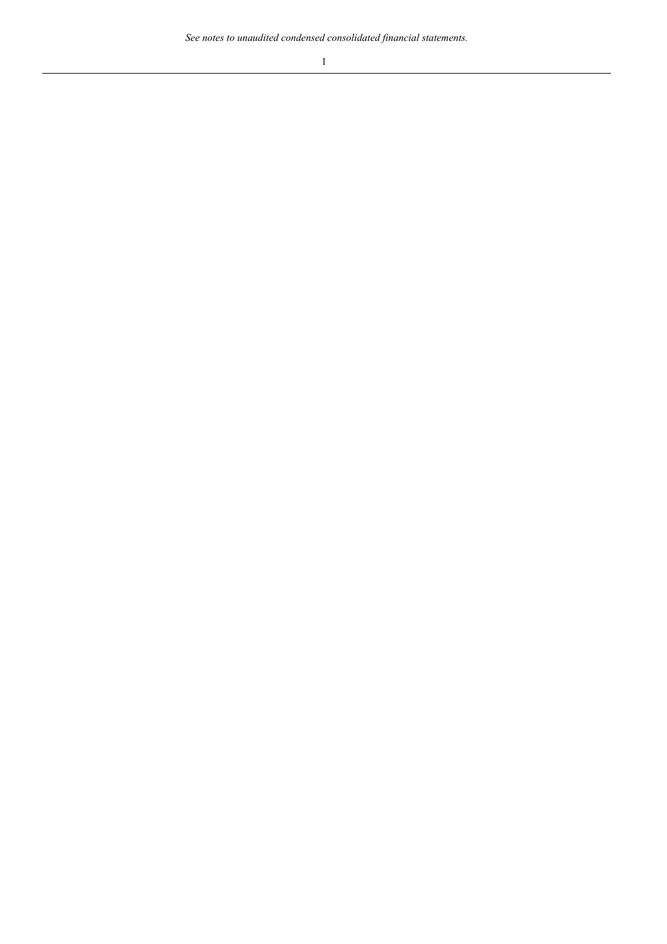*See notes to unaudited condensed consolidated financial statements.*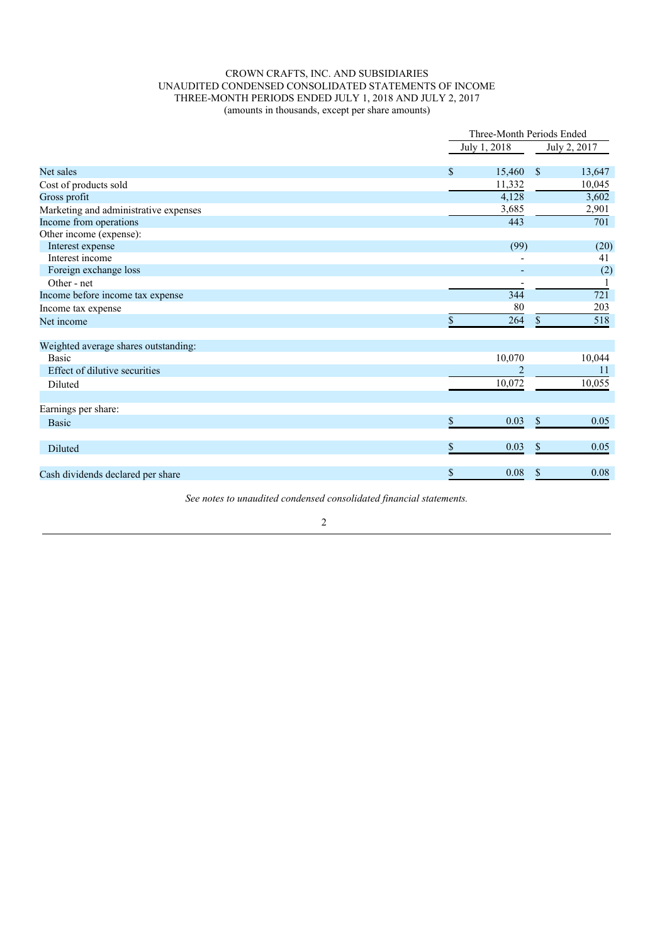## CROWN CRAFTS, INC. AND SUBSIDIARIES UNAUDITED CONDENSED CONSOLIDATED STATEMENTS OF INCOME THREE-MONTH PERIODS ENDED JULY 1, 2018 AND JULY 2, 2017 (amounts in thousands, except per share amounts)

|                                       | Three-Month Periods Ended |                        |  |  |  |
|---------------------------------------|---------------------------|------------------------|--|--|--|
|                                       | July 1, 2018              | July 2, 2017           |  |  |  |
| Net sales                             | $\mathbb{S}$<br>15,460    | $\mathbb{S}$<br>13,647 |  |  |  |
| Cost of products sold                 | 11,332                    | 10,045                 |  |  |  |
| Gross profit                          | 4,128                     | 3,602                  |  |  |  |
| Marketing and administrative expenses | 3,685                     | 2,901                  |  |  |  |
| Income from operations                | 443                       | 701                    |  |  |  |
| Other income (expense):               |                           |                        |  |  |  |
| Interest expense                      | (99)                      | (20)                   |  |  |  |
| Interest income                       |                           | 41                     |  |  |  |
| Foreign exchange loss                 |                           | (2)                    |  |  |  |
| Other - net                           |                           | 1                      |  |  |  |
| Income before income tax expense      | 344                       | 721                    |  |  |  |
| Income tax expense                    | 80                        | 203                    |  |  |  |
| Net income                            | $\mathbb{S}$<br>264       | $\mathbb{S}$<br>518    |  |  |  |
| Weighted average shares outstanding:  |                           |                        |  |  |  |
| <b>Basic</b>                          | 10,070                    | 10,044                 |  |  |  |
| Effect of dilutive securities         | 2                         | 11                     |  |  |  |
| Diluted                               | 10,072                    | 10,055                 |  |  |  |
| Earnings per share:                   |                           |                        |  |  |  |
| <b>Basic</b>                          | \$<br>0.03                | \$<br>0.05             |  |  |  |
| Diluted                               | \$<br>0.03                | \$<br>0.05             |  |  |  |
| Cash dividends declared per share     | 0.08<br>\$                | \$<br>0.08             |  |  |  |

*See notes to unaudited condensed consolidated financial statements.*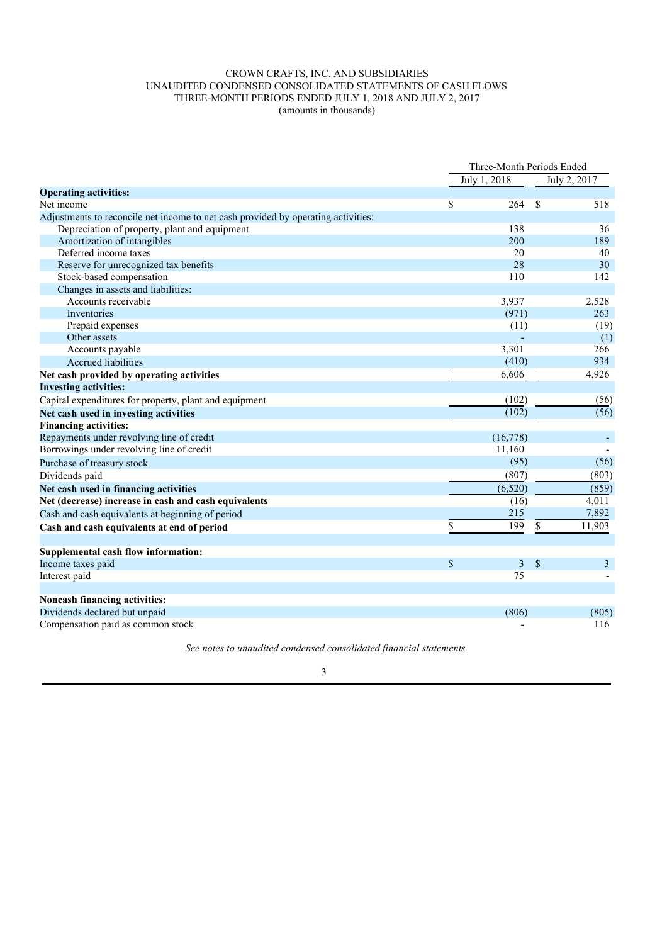## CROWN CRAFTS, INC. AND SUBSIDIARIES UNAUDITED CONDENSED CONSOLIDATED STATEMENTS OF CASH FLOWS THREE-MONTH PERIODS ENDED JULY 1, 2018 AND JULY 2, 2017 (amounts in thousands)

|                                                                                   | Three-Month Periods Ended |              |    |              |
|-----------------------------------------------------------------------------------|---------------------------|--------------|----|--------------|
|                                                                                   |                           | July 1, 2018 |    | July 2, 2017 |
| <b>Operating activities:</b>                                                      |                           |              |    |              |
| Net income                                                                        | \$                        | 264          | -S | 518          |
| Adjustments to reconcile net income to net cash provided by operating activities: |                           |              |    |              |
| Depreciation of property, plant and equipment                                     |                           | 138          |    | 36           |
| Amortization of intangibles                                                       |                           | 200          |    | 189          |
| Deferred income taxes                                                             |                           | 20           |    | 40           |
| Reserve for unrecognized tax benefits                                             |                           | 28           |    | 30           |
| Stock-based compensation                                                          |                           | 110          |    | 142          |
| Changes in assets and liabilities:                                                |                           |              |    |              |
| Accounts receivable                                                               |                           | 3,937        |    | 2,528        |
| Inventories                                                                       |                           | (971)        |    | 263          |
| Prepaid expenses                                                                  |                           | (11)         |    | (19)         |
| Other assets                                                                      |                           |              |    | (1)          |
| Accounts payable                                                                  |                           | 3,301        |    | 266          |
| <b>Accrued liabilities</b>                                                        |                           | (410)        |    | 934          |
| Net cash provided by operating activities                                         |                           | 6.606        |    | 4,926        |
| <b>Investing activities:</b>                                                      |                           |              |    |              |
| Capital expenditures for property, plant and equipment                            |                           | (102)        |    | (56)         |
| Net cash used in investing activities                                             |                           | (102)        |    | (56)         |
| <b>Financing activities:</b>                                                      |                           |              |    |              |
| Repayments under revolving line of credit                                         |                           | (16,778)     |    |              |
| Borrowings under revolving line of credit                                         |                           | 11,160       |    |              |
| Purchase of treasury stock                                                        |                           | (95)         |    | (56)         |
| Dividends paid                                                                    |                           | (807)        |    | (803)        |
| Net cash used in financing activities                                             |                           | (6,520)      |    | (859)        |
| Net (decrease) increase in cash and cash equivalents                              |                           | (16)         |    | 4,011        |
| Cash and cash equivalents at beginning of period                                  |                           | 215          |    | 7,892        |
| Cash and cash equivalents at end of period                                        | \$                        | 199          | \$ | 11,903       |
| Supplemental cash flow information:                                               |                           |              |    |              |
| Income taxes paid                                                                 | \$                        | 3            | \$ | 3            |
| Interest paid                                                                     |                           | 75           |    |              |
|                                                                                   |                           |              |    |              |
| Noncash financing activities:                                                     |                           |              |    |              |
| Dividends declared but unpaid                                                     |                           | (806)        |    | (805)        |
| Compensation paid as common stock                                                 |                           |              |    | 116          |

*See notes to unaudited condensed consolidated financial statements.*

# 3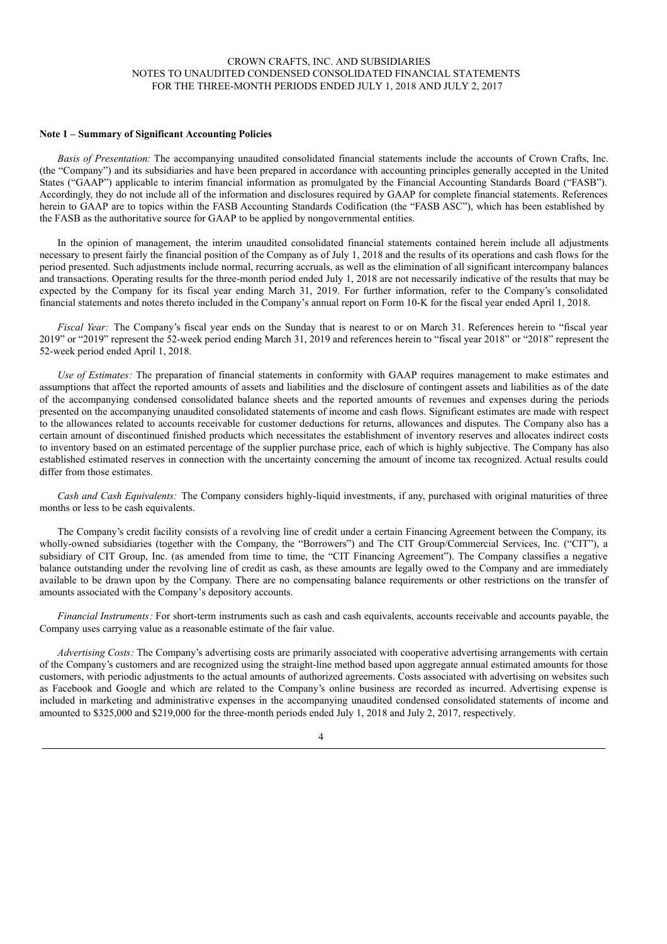### CROWN CRAFTS, INC. AND SUBSIDIARIES NOTES TO UNAUDITED CONDENSED CONSOLIDATED FINANCIAL STATEMENTS FOR THE THREE-MONTH PERIODS ENDED JULY 1, 2018 AND JULY 2, 2017

#### **Note 1 – Summary of Significant Accounting Policies**

*Basis of Presentation:* The accompanying unaudited consolidated financial statements include the accounts of Crown Crafts, Inc. (the "Company") and its subsidiaries and have been prepared in accordance with accounting principles generally accepted in the United States ("GAAP") applicable to interim financial information as promulgated by the Financial Accounting Standards Board ("FASB"). Accordingly, they do not include all of the information and disclosures required by GAAP for complete financial statements. References herein to GAAP are to topics within the FASB Accounting Standards Codification (the "FASB ASC"), which has been established by the FASB as the authoritative source for GAAP to be applied by nongovernmental entities.

In the opinion of management, the interim unaudited consolidated financial statements contained herein include all adjustments necessary to present fairly the financial position of the Company as of July 1, 2018 and the results of its operations and cash flows for the period presented. Such adjustments include normal, recurring accruals, as well as the elimination of all significant intercompany balances and transactions. Operating results for the three-month period ended July 1, 2018 are not necessarily indicative of the results that may be expected by the Company for its fiscal year ending March 31, 2019. For further information, refer to the Company's consolidated financial statements and notes thereto included in the Company's annual report on Form 10-K for the fiscal year ended April 1, 2018.

*Fiscal Year:* The Company's fiscal year ends on the Sunday that is nearest to or on March 31. References herein to "fiscal year 2019" or "2019" represent the 52-week period ending March 31, 2019 and references herein to "fiscal year 2018" or "2018" represent the 52-week period ended April 1, 2018.

*Use of Estimates:* The preparation of financial statements in conformity with GAAP requires management to make estimates and assumptions that affect the reported amounts of assets and liabilities and the disclosure of contingent assets and liabilities as of the date of the accompanying condensed consolidated balance sheets and the reported amounts of revenues and expenses during the periods presented on the accompanying unaudited consolidated statements of income and cash flows. Significant estimates are made with respect to the allowances related to accounts receivable for customer deductions for returns, allowances and disputes. The Company also has a certain amount of discontinued finished products which necessitates the establishment of inventory reserves and allocates indirect costs to inventory based on an estimated percentage of the supplier purchase price, each of which is highly subjective. The Company has also established estimated reserves in connection with the uncertainty concerning the amount of income tax recognized. Actual results could differ from those estimates.

*Cash and Cash Equivalents:* The Company considers highly-liquid investments, if any, purchased with original maturities of three months or less to be cash equivalents.

The Company's credit facility consists of a revolving line of credit under a certain Financing Agreement between the Company, its wholly-owned subsidiaries (together with the Company, the "Borrowers") and The CIT Group/Commercial Services, Inc. ("CIT"), a subsidiary of CIT Group, Inc. (as amended from time to time, the "CIT Financing Agreement"). The Company classifies a negative balance outstanding under the revolving line of credit as cash, as these amounts are legally owed to the Company and are immediately available to be drawn upon by the Company. There are no compensating balance requirements or other restrictions on the transfer of amounts associated with the Company's depository accounts.

*Financial Instruments:* For short-term instruments such as cash and cash equivalents, accounts receivable and accounts payable, the Company uses carrying value as a reasonable estimate of the fair value.

*Advertising Costs:* The Company's advertising costs are primarily associated with cooperative advertising arrangements with certain of the Company's customers and are recognized using the straight-line method based upon aggregate annual estimated amounts for those customers, with periodic adjustments to the actual amounts of authorized agreements. Costs associated with advertising on websites such as Facebook and Google and which are related to the Company's online business are recorded as incurred. Advertising expense is included in marketing and administrative expenses in the accompanying unaudited condensed consolidated statements of income and amounted to \$325,000 and \$219,000 for the three-month periods ended July 1, 2018 and July 2, 2017, respectively.

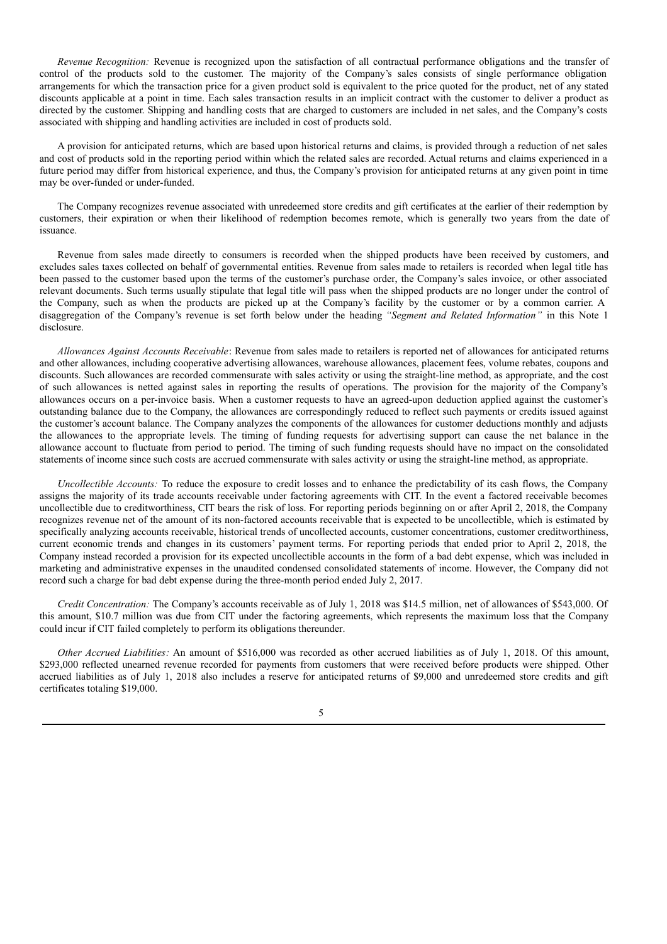*Revenue Recognition:* Revenue is recognized upon the satisfaction of all contractual performance obligations and the transfer of control of the products sold to the customer. The majority of the Company's sales consists of single performance obligation arrangements for which the transaction price for a given product sold is equivalent to the price quoted for the product, net of any stated discounts applicable at a point in time. Each sales transaction results in an implicit contract with the customer to deliver a product as directed by the customer. Shipping and handling costs that are charged to customers are included in net sales, and the Company's costs associated with shipping and handling activities are included in cost of products sold.

A provision for anticipated returns, which are based upon historical returns and claims, is provided through a reduction of net sales and cost of products sold in the reporting period within which the related sales are recorded. Actual returns and claims experienced in a future period may differ from historical experience, and thus, the Company's provision for anticipated returns at any given point in time may be over-funded or under-funded.

The Company recognizes revenue associated with unredeemed store credits and gift certificates at the earlier of their redemption by customers, their expiration or when their likelihood of redemption becomes remote, which is generally two years from the date of issuance.

Revenue from sales made directly to consumers is recorded when the shipped products have been received by customers, and excludes sales taxes collected on behalf of governmental entities. Revenue from sales made to retailers is recorded when legal title has been passed to the customer based upon the terms of the customer's purchase order, the Company's sales invoice, or other associated relevant documents. Such terms usually stipulate that legal title will pass when the shipped products are no longer under the control of the Company, such as when the products are picked up at the Company's facility by the customer or by a common carrier. A disaggregation of the Company's revenue is set forth below under the heading *"Segment and Related Information"* in this Note 1 disclosure.

*Allowances Against Accounts Receivable*: Revenue from sales made to retailers is reported net of allowances for anticipated returns and other allowances, including cooperative advertising allowances, warehouse allowances, placement fees, volume rebates, coupons and discounts. Such allowances are recorded commensurate with sales activity or using the straight-line method, as appropriate, and the cost of such allowances is netted against sales in reporting the results of operations. The provision for the majority of the Company's allowances occurs on a per-invoice basis. When a customer requests to have an agreed-upon deduction applied against the customer's outstanding balance due to the Company, the allowances are correspondingly reduced to reflect such payments or credits issued against the customer's account balance. The Company analyzes the components of the allowances for customer deductions monthly and adjusts the allowances to the appropriate levels. The timing of funding requests for advertising support can cause the net balance in the allowance account to fluctuate from period to period. The timing of such funding requests should have no impact on the consolidated statements of income since such costs are accrued commensurate with sales activity or using the straight-line method, as appropriate.

*Uncollectible Accounts:* To reduce the exposure to credit losses and to enhance the predictability of its cash flows, the Company assigns the majority of its trade accounts receivable under factoring agreements with CIT. In the event a factored receivable becomes uncollectible due to creditworthiness, CIT bears the risk of loss. For reporting periods beginning on or after April 2, 2018, the Company recognizes revenue net of the amount of its non-factored accounts receivable that is expected to be uncollectible, which is estimated by specifically analyzing accounts receivable, historical trends of uncollected accounts, customer concentrations, customer creditworthiness, current economic trends and changes in its customers' payment terms. For reporting periods that ended prior to April 2, 2018, the Company instead recorded a provision for its expected uncollectible accounts in the form of a bad debt expense, which was included in marketing and administrative expenses in the unaudited condensed consolidated statements of income. However, the Company did not record such a charge for bad debt expense during the three-month period ended July 2, 2017.

*Credit Concentration:* The Company's accounts receivable as of July 1, 2018 was \$14.5 million, net of allowances of \$543,000. Of this amount, \$10.7 million was due from CIT under the factoring agreements, which represents the maximum loss that the Company could incur if CIT failed completely to perform its obligations thereunder.

*Other Accrued Liabilities:* An amount of \$516,000 was recorded as other accrued liabilities as of July 1, 2018. Of this amount, \$293,000 reflected unearned revenue recorded for payments from customers that were received before products were shipped. Other accrued liabilities as of July 1, 2018 also includes a reserve for anticipated returns of \$9,000 and unredeemed store credits and gift certificates totaling \$19,000.

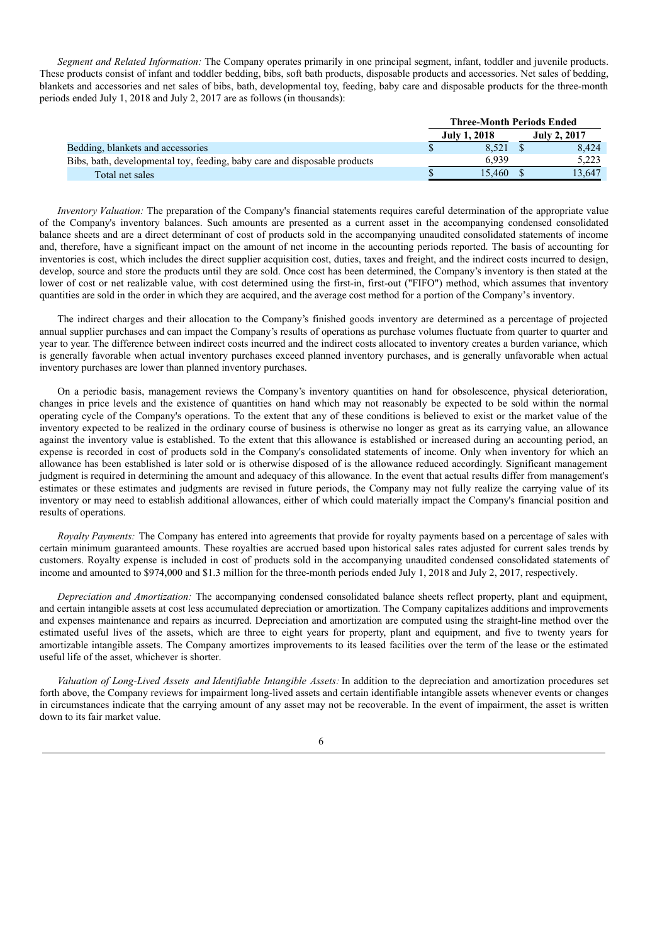*Segment and Related Information:* The Company operates primarily in one principal segment, infant, toddler and juvenile products. These products consist of infant and toddler bedding, bibs, soft bath products, disposable products and accessories. Net sales of bedding, blankets and accessories and net sales of bibs, bath, developmental toy, feeding, baby care and disposable products for the three-month periods ended July 1, 2018 and July 2, 2017 are as follows (in thousands):

|                                                                           | <b>Three-Month Periods Ended</b> |                     |  |                     |  |  |
|---------------------------------------------------------------------------|----------------------------------|---------------------|--|---------------------|--|--|
|                                                                           |                                  | <b>July 1, 2018</b> |  | <b>July 2, 2017</b> |  |  |
| Bedding, blankets and accessories                                         |                                  | 8.521               |  | 8.424               |  |  |
| Bibs, bath, developmental toy, feeding, baby care and disposable products |                                  | 6.939               |  | 5.223               |  |  |
| Total net sales                                                           |                                  | 15.460              |  | 13.647              |  |  |

*Inventory Valuation:* The preparation of the Company's financial statements requires careful determination of the appropriate value of the Company's inventory balances. Such amounts are presented as a current asset in the accompanying condensed consolidated balance sheets and are a direct determinant of cost of products sold in the accompanying unaudited consolidated statements of income and, therefore, have a significant impact on the amount of net income in the accounting periods reported. The basis of accounting for inventories is cost, which includes the direct supplier acquisition cost, duties, taxes and freight, and the indirect costs incurred to design, develop, source and store the products until they are sold. Once cost has been determined, the Company's inventory is then stated at the lower of cost or net realizable value, with cost determined using the first-in, first-out ("FIFO") method, which assumes that inventory quantities are sold in the order in which they are acquired, and the average cost method for a portion of the Company's inventory.

The indirect charges and their allocation to the Company's finished goods inventory are determined as a percentage of projected annual supplier purchases and can impact the Company's results of operations as purchase volumes fluctuate from quarter to quarter and year to year. The difference between indirect costs incurred and the indirect costs allocated to inventory creates a burden variance, which is generally favorable when actual inventory purchases exceed planned inventory purchases, and is generally unfavorable when actual inventory purchases are lower than planned inventory purchases.

On a periodic basis, management reviews the Company's inventory quantities on hand for obsolescence, physical deterioration, changes in price levels and the existence of quantities on hand which may not reasonably be expected to be sold within the normal operating cycle of the Company's operations. To the extent that any of these conditions is believed to exist or the market value of the inventory expected to be realized in the ordinary course of business is otherwise no longer as great as its carrying value, an allowance against the inventory value is established. To the extent that this allowance is established or increased during an accounting period, an expense is recorded in cost of products sold in the Company's consolidated statements of income. Only when inventory for which an allowance has been established is later sold or is otherwise disposed of is the allowance reduced accordingly. Significant management judgment is required in determining the amount and adequacy of this allowance. In the event that actual results differ from management's estimates or these estimates and judgments are revised in future periods, the Company may not fully realize the carrying value of its inventory or may need to establish additional allowances, either of which could materially impact the Company's financial position and results of operations.

*Royalty Payments:* The Company has entered into agreements that provide for royalty payments based on a percentage of sales with certain minimum guaranteed amounts. These royalties are accrued based upon historical sales rates adjusted for current sales trends by customers. Royalty expense is included in cost of products sold in the accompanying unaudited condensed consolidated statements of income and amounted to \$974,000 and \$1.3 million for the three-month periods ended July 1, 2018 and July 2, 2017, respectively.

*Depreciation and Amortization:* The accompanying condensed consolidated balance sheets reflect property, plant and equipment, and certain intangible assets at cost less accumulated depreciation or amortization. The Company capitalizes additions and improvements and expenses maintenance and repairs as incurred. Depreciation and amortization are computed using the straight-line method over the estimated useful lives of the assets, which are three to eight years for property, plant and equipment, and five to twenty years for amortizable intangible assets. The Company amortizes improvements to its leased facilities over the term of the lease or the estimated useful life of the asset, whichever is shorter.

*Valuation of Long-Lived Assets and Identifiable Intangible Assets:* In addition to the depreciation and amortization procedures set forth above, the Company reviews for impairment long-lived assets and certain identifiable intangible assets whenever events or changes in circumstances indicate that the carrying amount of any asset may not be recoverable. In the event of impairment, the asset is written down to its fair market value.

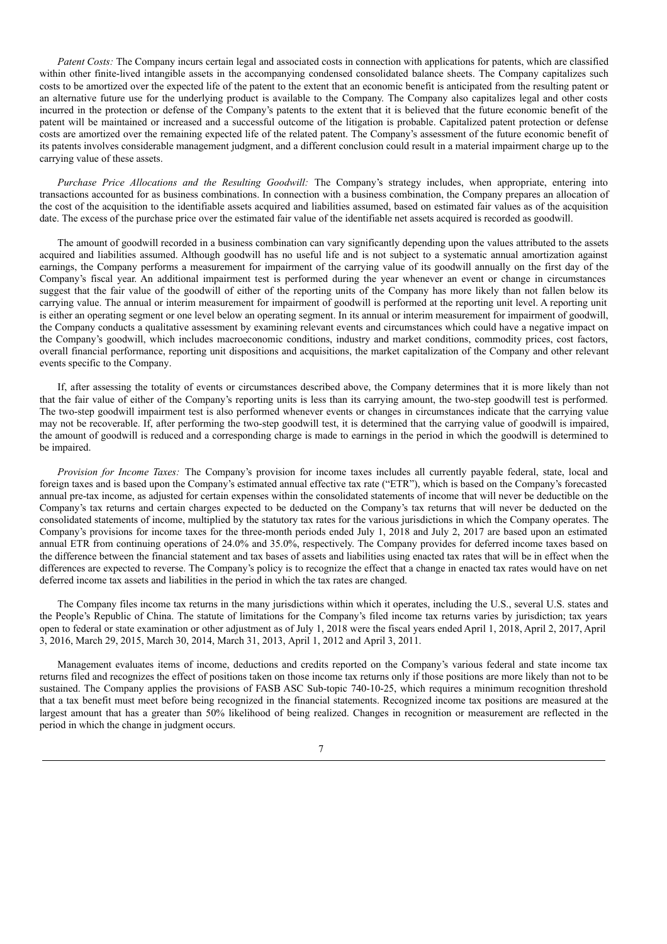*Patent Costs:* The Company incurs certain legal and associated costs in connection with applications for patents, which are classified within other finite-lived intangible assets in the accompanying condensed consolidated balance sheets. The Company capitalizes such costs to be amortized over the expected life of the patent to the extent that an economic benefit is anticipated from the resulting patent or an alternative future use for the underlying product is available to the Company. The Company also capitalizes legal and other costs incurred in the protection or defense of the Company's patents to the extent that it is believed that the future economic benefit of the patent will be maintained or increased and a successful outcome of the litigation is probable. Capitalized patent protection or defense costs are amortized over the remaining expected life of the related patent. The Company's assessment of the future economic benefit of its patents involves considerable management judgment, and a different conclusion could result in a material impairment charge up to the carrying value of these assets.

*Purchase Price Allocations and the Resulting Goodwill:* The Company's strategy includes, when appropriate, entering into transactions accounted for as business combinations. In connection with a business combination, the Company prepares an allocation of the cost of the acquisition to the identifiable assets acquired and liabilities assumed, based on estimated fair values as of the acquisition date. The excess of the purchase price over the estimated fair value of the identifiable net assets acquired is recorded as goodwill.

The amount of goodwill recorded in a business combination can vary significantly depending upon the values attributed to the assets acquired and liabilities assumed. Although goodwill has no useful life and is not subject to a systematic annual amortization against earnings, the Company performs a measurement for impairment of the carrying value of its goodwill annually on the first day of the Company's fiscal year. An additional impairment test is performed during the year whenever an event or change in circumstances suggest that the fair value of the goodwill of either of the reporting units of the Company has more likely than not fallen below its carrying value. The annual or interim measurement for impairment of goodwill is performed at the reporting unit level. A reporting unit is either an operating segment or one level below an operating segment. In its annual or interim measurement for impairment of goodwill, the Company conducts a qualitative assessment by examining relevant events and circumstances which could have a negative impact on the Company's goodwill, which includes macroeconomic conditions, industry and market conditions, commodity prices, cost factors, overall financial performance, reporting unit dispositions and acquisitions, the market capitalization of the Company and other relevant events specific to the Company.

If, after assessing the totality of events or circumstances described above, the Company determines that it is more likely than not that the fair value of either of the Company's reporting units is less than its carrying amount, the two-step goodwill test is performed. The two-step goodwill impairment test is also performed whenever events or changes in circumstances indicate that the carrying value may not be recoverable. If, after performing the two-step goodwill test, it is determined that the carrying value of goodwill is impaired, the amount of goodwill is reduced and a corresponding charge is made to earnings in the period in which the goodwill is determined to be impaired.

*Provision for Income Taxes:* The Company's provision for income taxes includes all currently payable federal, state, local and foreign taxes and is based upon the Company's estimated annual effective tax rate ("ETR"), which is based on the Company's forecasted annual pre-tax income, as adjusted for certain expenses within the consolidated statements of income that will never be deductible on the Company's tax returns and certain charges expected to be deducted on the Company's tax returns that will never be deducted on the consolidated statements of income, multiplied by the statutory tax rates for the various jurisdictions in which the Company operates. The Company's provisions for income taxes for the three-month periods ended July 1, 2018 and July 2, 2017 are based upon an estimated annual ETR from continuing operations of 24.0% and 35.0%, respectively. The Company provides for deferred income taxes based on the difference between the financial statement and tax bases of assets and liabilities using enacted tax rates that will be in effect when the differences are expected to reverse. The Company's policy is to recognize the effect that a change in enacted tax rates would have on net deferred income tax assets and liabilities in the period in which the tax rates are changed.

The Company files income tax returns in the many jurisdictions within which it operates, including the U.S., several U.S. states and the People's Republic of China. The statute of limitations for the Company's filed income tax returns varies by jurisdiction; tax years open to federal or state examination or other adjustment as of July 1, 2018 were the fiscal years ended April 1, 2018, April 2, 2017, April 3, 2016, March 29, 2015, March 30, 2014, March 31, 2013, April 1, 2012 and April 3, 2011.

Management evaluates items of income, deductions and credits reported on the Company's various federal and state income tax returns filed and recognizes the effect of positions taken on those income tax returns only if those positions are more likely than not to be sustained. The Company applies the provisions of FASB ASC Sub-topic 740-10-25, which requires a minimum recognition threshold that a tax benefit must meet before being recognized in the financial statements. Recognized income tax positions are measured at the largest amount that has a greater than 50% likelihood of being realized. Changes in recognition or measurement are reflected in the period in which the change in judgment occurs.

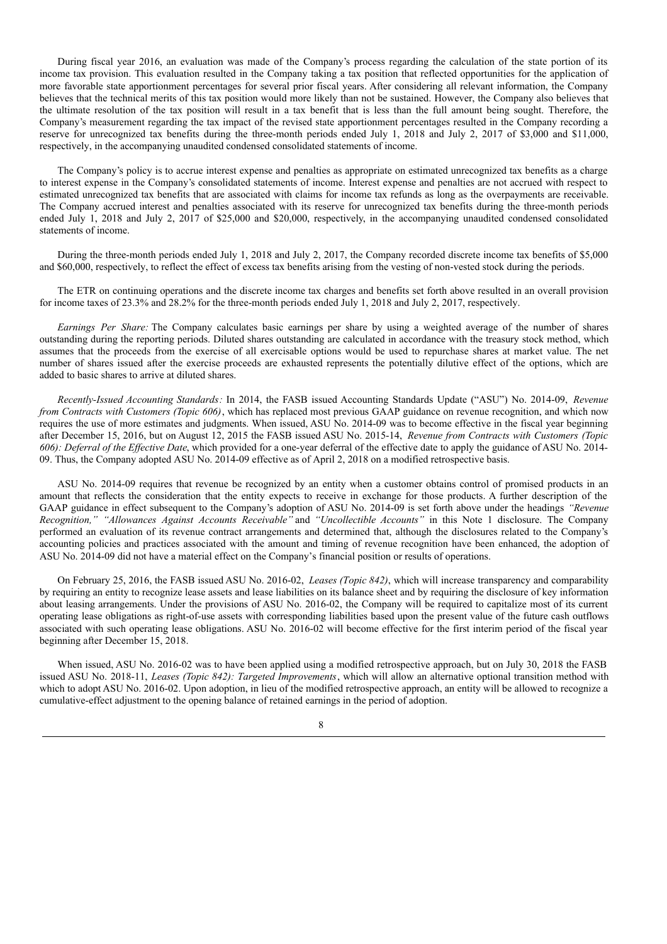During fiscal year 2016, an evaluation was made of the Company's process regarding the calculation of the state portion of its income tax provision. This evaluation resulted in the Company taking a tax position that reflected opportunities for the application of more favorable state apportionment percentages for several prior fiscal years. After considering all relevant information, the Company believes that the technical merits of this tax position would more likely than not be sustained. However, the Company also believes that the ultimate resolution of the tax position will result in a tax benefit that is less than the full amount being sought. Therefore, the Company's measurement regarding the tax impact of the revised state apportionment percentages resulted in the Company recording a reserve for unrecognized tax benefits during the three-month periods ended July 1, 2018 and July 2, 2017 of \$3,000 and \$11,000, respectively, in the accompanying unaudited condensed consolidated statements of income.

The Company's policy is to accrue interest expense and penalties as appropriate on estimated unrecognized tax benefits as a charge to interest expense in the Company's consolidated statements of income. Interest expense and penalties are not accrued with respect to estimated unrecognized tax benefits that are associated with claims for income tax refunds as long as the overpayments are receivable. The Company accrued interest and penalties associated with its reserve for unrecognized tax benefits during the three-month periods ended July 1, 2018 and July 2, 2017 of \$25,000 and \$20,000, respectively, in the accompanying unaudited condensed consolidated statements of income.

During the three-month periods ended July 1, 2018 and July 2, 2017, the Company recorded discrete income tax benefits of \$5,000 and \$60,000, respectively, to reflect the effect of excess tax benefits arising from the vesting of non-vested stock during the periods.

The ETR on continuing operations and the discrete income tax charges and benefits set forth above resulted in an overall provision for income taxes of 23.3% and 28.2% for the three-month periods ended July 1, 2018 and July 2, 2017, respectively.

*Earnings Per Share:* The Company calculates basic earnings per share by using a weighted average of the number of shares outstanding during the reporting periods. Diluted shares outstanding are calculated in accordance with the treasury stock method, which assumes that the proceeds from the exercise of all exercisable options would be used to repurchase shares at market value. The net number of shares issued after the exercise proceeds are exhausted represents the potentially dilutive effect of the options, which are added to basic shares to arrive at diluted shares.

*Recently-Issued Accounting Standards:* In 2014, the FASB issued Accounting Standards Update ("ASU") No. 2014-09, *Revenue from Contracts with Customers (Topic 606)*, which has replaced most previous GAAP guidance on revenue recognition, and which now requires the use of more estimates and judgments. When issued, ASU No. 2014-09 was to become effective in the fiscal year beginning after December 15, 2016, but on August 12, 2015 the FASB issued ASU No. 2015-14, *Revenue from Contracts with Customers (Topic 606): Deferral of the Ef ective Date*, which provided for a one-year deferral of the effective date to apply the guidance of ASU No. 2014- 09. Thus, the Company adopted ASU No. 2014-09 effective as of April 2, 2018 on a modified retrospective basis.

ASU No. 2014-09 requires that revenue be recognized by an entity when a customer obtains control of promised products in an amount that reflects the consideration that the entity expects to receive in exchange for those products. A further description of the GAAP guidance in effect subsequent to the Company's adoption of ASU No. 2014-09 is set forth above under the headings *"Revenue Recognition," "Allowances Against Accounts Receivable"* and *"Uncollectible Accounts"* in this Note 1 disclosure. The Company performed an evaluation of its revenue contract arrangements and determined that, although the disclosures related to the Company's accounting policies and practices associated with the amount and timing of revenue recognition have been enhanced, the adoption of ASU No. 2014-09 did not have a material effect on the Company's financial position or results of operations.

On February 25, 2016, the FASB issued ASU No. 2016-02, *Leases (Topic 842)*, which will increase transparency and comparability by requiring an entity to recognize lease assets and lease liabilities on its balance sheet and by requiring the disclosure of key information about leasing arrangements. Under the provisions of ASU No. 2016-02, the Company will be required to capitalize most of its current operating lease obligations as right-of-use assets with corresponding liabilities based upon the present value of the future cash outflows associated with such operating lease obligations. ASU No. 2016-02 will become effective for the first interim period of the fiscal year beginning after December 15, 2018.

When issued, ASU No. 2016-02 was to have been applied using a modified retrospective approach, but on July 30, 2018 the FASB issued ASU No. 2018-11, *Leases (Topic 842): Targeted Improvements*, which will allow an alternative optional transition method with which to adopt ASU No. 2016-02. Upon adoption, in lieu of the modified retrospective approach, an entity will be allowed to recognize a cumulative-effect adjustment to the opening balance of retained earnings in the period of adoption.

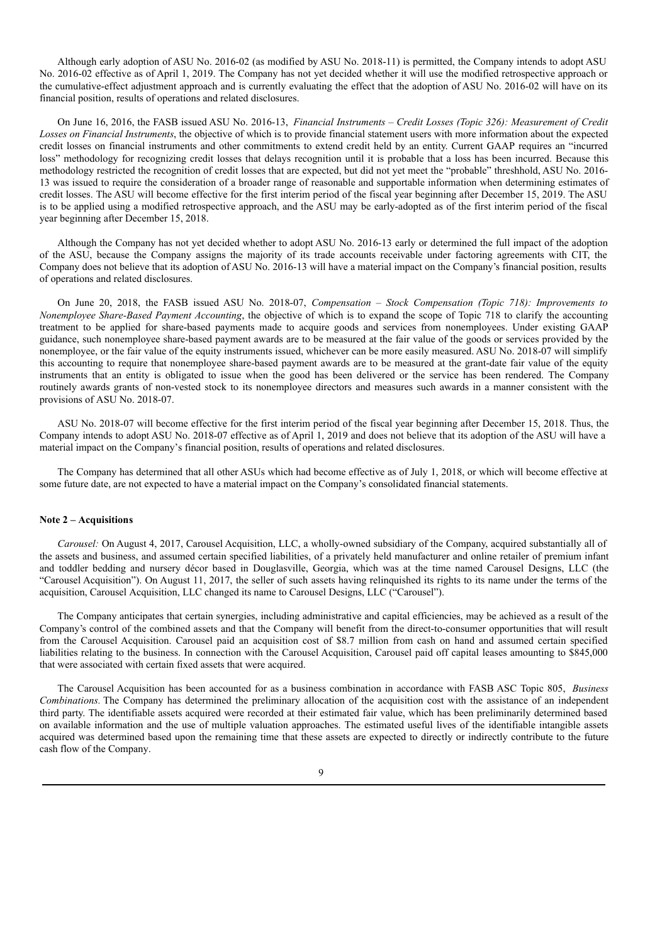Although early adoption of ASU No. 2016-02 (as modified by ASU No. 2018-11) is permitted, the Company intends to adopt ASU No. 2016-02 effective as of April 1, 2019. The Company has not yet decided whether it will use the modified retrospective approach or the cumulative-effect adjustment approach and is currently evaluating the effect that the adoption of ASU No. 2016-02 will have on its financial position, results of operations and related disclosures.

On June 16, 2016, the FASB issued ASU No. 2016-13, *Financial Instruments – Credit Losses (Topic 326): Measurement of Credit Losses on Financial Instruments*, the objective of which is to provide financial statement users with more information about the expected credit losses on financial instruments and other commitments to extend credit held by an entity. Current GAAP requires an "incurred loss" methodology for recognizing credit losses that delays recognition until it is probable that a loss has been incurred. Because this methodology restricted the recognition of credit losses that are expected, but did not yet meet the "probable" threshhold, ASU No. 2016- 13 was issued to require the consideration of a broader range of reasonable and supportable information when determining estimates of credit losses. The ASU will become effective for the first interim period of the fiscal year beginning after December 15, 2019. The ASU is to be applied using a modified retrospective approach, and the ASU may be early-adopted as of the first interim period of the fiscal year beginning after December 15, 2018.

Although the Company has not yet decided whether to adopt ASU No. 2016-13 early or determined the full impact of the adoption of the ASU, because the Company assigns the majority of its trade accounts receivable under factoring agreements with CIT, the Company does not believe that its adoption of ASU No. 2016-13 will have a material impact on the Company's financial position, results of operations and related disclosures.

On June 20, 2018, the FASB issued ASU No. 2018-07, *Compensation – Stock Compensation (Topic 718): Improvements to Nonemployee Share-Based Payment Accounting*, the objective of which is to expand the scope of Topic 718 to clarify the accounting treatment to be applied for share-based payments made to acquire goods and services from nonemployees. Under existing GAAP guidance, such nonemployee share-based payment awards are to be measured at the fair value of the goods or services provided by the nonemployee, or the fair value of the equity instruments issued, whichever can be more easily measured. ASU No. 2018-07 will simplify this accounting to require that nonemployee share-based payment awards are to be measured at the grant-date fair value of the equity instruments that an entity is obligated to issue when the good has been delivered or the service has been rendered. The Company routinely awards grants of non-vested stock to its nonemployee directors and measures such awards in a manner consistent with the provisions of ASU No. 2018-07.

ASU No. 2018-07 will become effective for the first interim period of the fiscal year beginning after December 15, 2018. Thus, the Company intends to adopt ASU No. 2018-07 effective as of April 1, 2019 and does not believe that its adoption of the ASU will have a material impact on the Company's financial position, results of operations and related disclosures.

The Company has determined that all other ASUs which had become effective as of July 1, 2018, or which will become effective at some future date, are not expected to have a material impact on the Company's consolidated financial statements.

#### **Note 2 – Acquisitions**

*Carousel:* On August 4, 2017, Carousel Acquisition, LLC, a wholly-owned subsidiary of the Company, acquired substantially all of the assets and business, and assumed certain specified liabilities, of a privately held manufacturer and online retailer of premium infant and toddler bedding and nursery décor based in Douglasville, Georgia, which was at the time named Carousel Designs, LLC (the "Carousel Acquisition"). On August 11, 2017, the seller of such assets having relinquished its rights to its name under the terms of the acquisition, Carousel Acquisition, LLC changed its name to Carousel Designs, LLC ("Carousel").

The Company anticipates that certain synergies, including administrative and capital efficiencies, may be achieved as a result of the Company's control of the combined assets and that the Company will benefit from the direct-to-consumer opportunities that will result from the Carousel Acquisition. Carousel paid an acquisition cost of \$8.7 million from cash on hand and assumed certain specified liabilities relating to the business. In connection with the Carousel Acquisition, Carousel paid off capital leases amounting to \$845,000 that were associated with certain fixed assets that were acquired.

The Carousel Acquisition has been accounted for as a business combination in accordance with FASB ASC Topic 805, *Business Combinations.* The Company has determined the preliminary allocation of the acquisition cost with the assistance of an independent third party. The identifiable assets acquired were recorded at their estimated fair value, which has been preliminarily determined based on available information and the use of multiple valuation approaches. The estimated useful lives of the identifiable intangible assets acquired was determined based upon the remaining time that these assets are expected to directly or indirectly contribute to the future cash flow of the Company.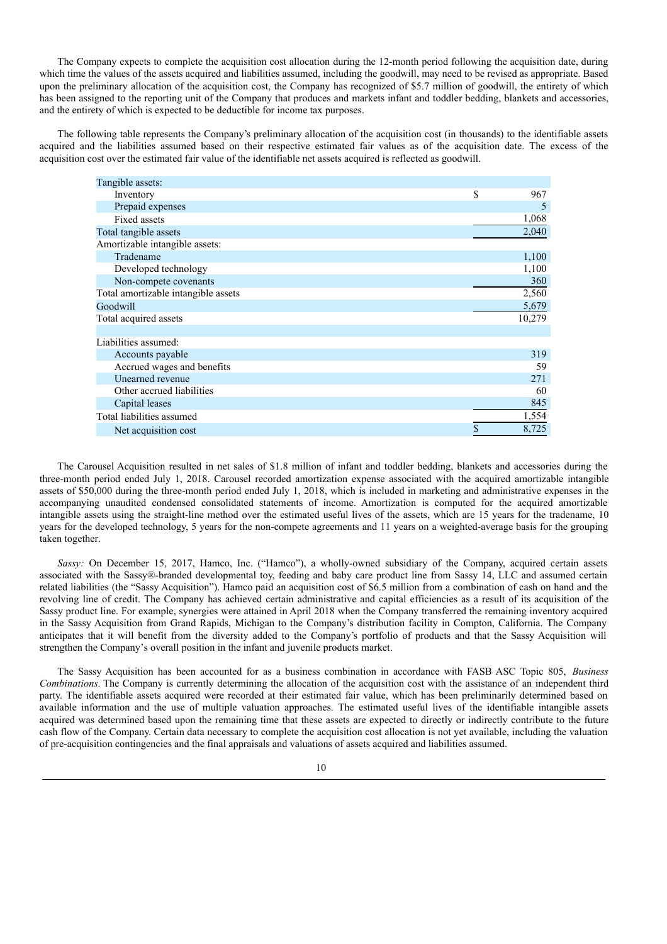The Company expects to complete the acquisition cost allocation during the 12-month period following the acquisition date, during which time the values of the assets acquired and liabilities assumed, including the goodwill, may need to be revised as appropriate. Based upon the preliminary allocation of the acquisition cost, the Company has recognized of \$5.7 million of goodwill, the entirety of which has been assigned to the reporting unit of the Company that produces and markets infant and toddler bedding, blankets and accessories, and the entirety of which is expected to be deductible for income tax purposes.

The following table represents the Company's preliminary allocation of the acquisition cost (in thousands) to the identifiable assets acquired and the liabilities assumed based on their respective estimated fair values as of the acquisition date. The excess of the acquisition cost over the estimated fair value of the identifiable net assets acquired is reflected as goodwill.

| Tangible assets:                    |             |
|-------------------------------------|-------------|
| Inventory                           | \$<br>967   |
| Prepaid expenses                    | 5           |
| Fixed assets                        | 1,068       |
| Total tangible assets               | 2,040       |
| Amortizable intangible assets:      |             |
| Tradename                           | 1,100       |
| Developed technology                | 1,100       |
| Non-compete covenants               | 360         |
| Total amortizable intangible assets | 2,560       |
| Goodwill                            | 5,679       |
| Total acquired assets               | 10,279      |
|                                     |             |
| Liabilities assumed:                |             |
| Accounts payable                    | 319         |
| Accrued wages and benefits          | 59          |
| Unearned revenue                    | 271         |
| Other accrued liabilities           | 60          |
| Capital leases                      | 845         |
| Total liabilities assumed           | 1,554       |
| Net acquisition cost                | \$<br>8,725 |

The Carousel Acquisition resulted in net sales of \$1.8 million of infant and toddler bedding, blankets and accessories during the three-month period ended July 1, 2018. Carousel recorded amortization expense associated with the acquired amortizable intangible assets of \$50,000 during the three-month period ended July 1, 2018, which is included in marketing and administrative expenses in the accompanying unaudited condensed consolidated statements of income. Amortization is computed for the acquired amortizable intangible assets using the straight-line method over the estimated useful lives of the assets, which are 15 years for the tradename, 10 years for the developed technology, 5 years for the non-compete agreements and 11 years on a weighted-average basis for the grouping taken together.

*Sassy:* On December 15, 2017, Hamco, Inc. ("Hamco"), a wholly-owned subsidiary of the Company, acquired certain assets associated with the Sassy®-branded developmental toy, feeding and baby care product line from Sassy 14, LLC and assumed certain related liabilities (the "Sassy Acquisition"). Hamco paid an acquisition cost of \$6.5 million from a combination of cash on hand and the revolving line of credit. The Company has achieved certain administrative and capital efficiencies as a result of its acquisition of the Sassy product line. For example, synergies were attained in April 2018 when the Company transferred the remaining inventory acquired in the Sassy Acquisition from Grand Rapids, Michigan to the Company's distribution facility in Compton, California. The Company anticipates that it will benefit from the diversity added to the Company's portfolio of products and that the Sassy Acquisition will strengthen the Company's overall position in the infant and juvenile products market.

The Sassy Acquisition has been accounted for as a business combination in accordance with FASB ASC Topic 805, *Business Combinations.* The Company is currently determining the allocation of the acquisition cost with the assistance of an independent third party. The identifiable assets acquired were recorded at their estimated fair value, which has been preliminarily determined based on available information and the use of multiple valuation approaches. The estimated useful lives of the identifiable intangible assets acquired was determined based upon the remaining time that these assets are expected to directly or indirectly contribute to the future cash flow of the Company. Certain data necessary to complete the acquisition cost allocation is not yet available, including the valuation of pre-acquisition contingencies and the final appraisals and valuations of assets acquired and liabilities assumed.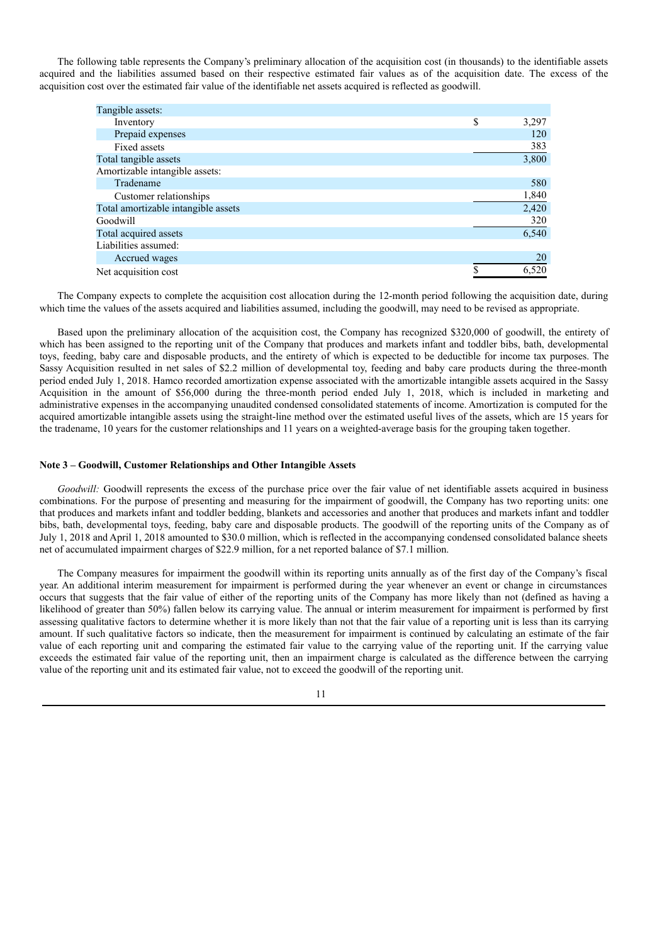The following table represents the Company's preliminary allocation of the acquisition cost (in thousands) to the identifiable assets acquired and the liabilities assumed based on their respective estimated fair values as of the acquisition date. The excess of the acquisition cost over the estimated fair value of the identifiable net assets acquired is reflected as goodwill.

| \$<br>3,297 |
|-------------|
| 120         |
| 383         |
| 3,800       |
|             |
| 580         |
| 1,840       |
| 2,420       |
| 320         |
| 6,540       |
|             |
| 20          |
| 6,520       |
|             |

The Company expects to complete the acquisition cost allocation during the 12-month period following the acquisition date, during which time the values of the assets acquired and liabilities assumed, including the goodwill, may need to be revised as appropriate.

Based upon the preliminary allocation of the acquisition cost, the Company has recognized \$320,000 of goodwill, the entirety of which has been assigned to the reporting unit of the Company that produces and markets infant and toddler bibs, bath, developmental toys, feeding, baby care and disposable products, and the entirety of which is expected to be deductible for income tax purposes. The Sassy Acquisition resulted in net sales of \$2.2 million of developmental toy, feeding and baby care products during the three-month period ended July 1, 2018. Hamco recorded amortization expense associated with the amortizable intangible assets acquired in the Sassy Acquisition in the amount of \$56,000 during the three-month period ended July 1, 2018, which is included in marketing and administrative expenses in the accompanying unaudited condensed consolidated statements of income. Amortization is computed for the acquired amortizable intangible assets using the straight-line method over the estimated useful lives of the assets, which are 15 years for the tradename, 10 years for the customer relationships and 11 years on a weighted-average basis for the grouping taken together.

#### **Note 3 – Goodwill, Customer Relationships and Other Intangible Assets**

*Goodwill:* Goodwill represents the excess of the purchase price over the fair value of net identifiable assets acquired in business combinations. For the purpose of presenting and measuring for the impairment of goodwill, the Company has two reporting units: one that produces and markets infant and toddler bedding, blankets and accessories and another that produces and markets infant and toddler bibs, bath, developmental toys, feeding, baby care and disposable products. The goodwill of the reporting units of the Company as of July 1, 2018 and April 1, 2018 amounted to \$30.0 million, which is reflected in the accompanying condensed consolidated balance sheets net of accumulated impairment charges of \$22.9 million, for a net reported balance of \$7.1 million.

The Company measures for impairment the goodwill within its reporting units annually as of the first day of the Company's fiscal year. An additional interim measurement for impairment is performed during the year whenever an event or change in circumstances occurs that suggests that the fair value of either of the reporting units of the Company has more likely than not (defined as having a likelihood of greater than 50%) fallen below its carrying value. The annual or interim measurement for impairment is performed by first assessing qualitative factors to determine whether it is more likely than not that the fair value of a reporting unit is less than its carrying amount. If such qualitative factors so indicate, then the measurement for impairment is continued by calculating an estimate of the fair value of each reporting unit and comparing the estimated fair value to the carrying value of the reporting unit. If the carrying value exceeds the estimated fair value of the reporting unit, then an impairment charge is calculated as the difference between the carrying value of the reporting unit and its estimated fair value, not to exceed the goodwill of the reporting unit.

### 11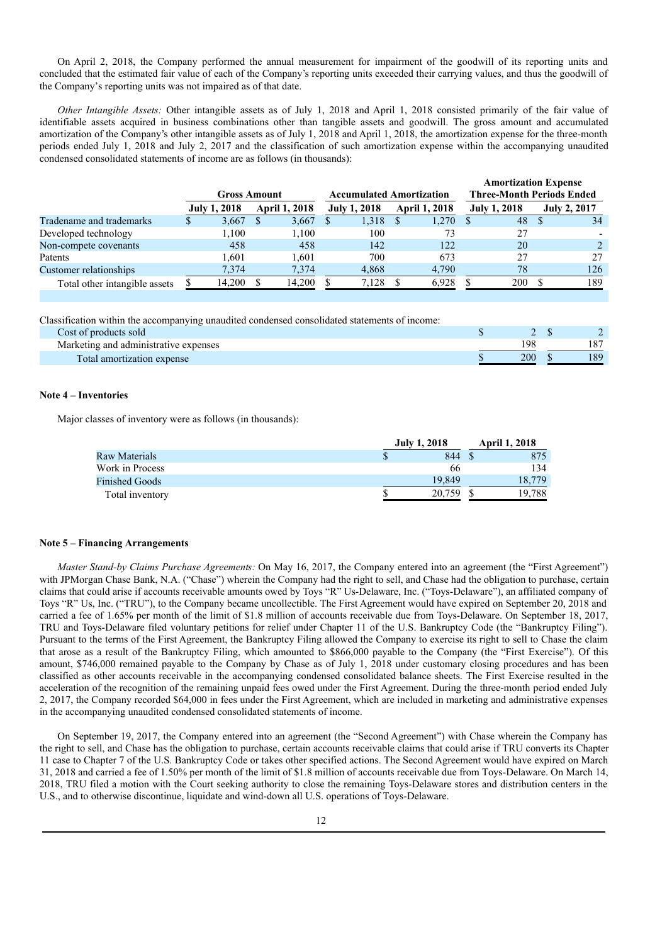On April 2, 2018, the Company performed the annual measurement for impairment of the goodwill of its reporting units and concluded that the estimated fair value of each of the Company's reporting units exceeded their carrying values, and thus the goodwill of the Company's reporting units was not impaired as of that date.

*Other Intangible Assets:* Other intangible assets as of July 1, 2018 and April 1, 2018 consisted primarily of the fair value of identifiable assets acquired in business combinations other than tangible assets and goodwill. The gross amount and accumulated amortization of the Company's other intangible assets as of July 1, 2018 and April 1, 2018, the amortization expense for the three-month periods ended July 1, 2018 and July 2, 2017 and the classification of such amortization expense within the accompanying unaudited condensed consolidated statements of income are as follows (in thousands):

|                               |                     |        |              |                      |   |                     |                                 |                                  | <b>Amortization Expense</b> |  |                     |  |
|-------------------------------|---------------------|--------|--------------|----------------------|---|---------------------|---------------------------------|----------------------------------|-----------------------------|--|---------------------|--|
|                               | <b>Gross Amount</b> |        |              |                      |   |                     | <b>Accumulated Amortization</b> | <b>Three-Month Periods Ended</b> |                             |  |                     |  |
|                               | <b>July 1, 2018</b> |        |              | <b>April 1, 2018</b> |   | <b>July 1, 2018</b> | <b>April 1, 2018</b>            |                                  | <b>July 1, 2018</b>         |  | <b>July 2, 2017</b> |  |
| Tradename and trademarks      |                     | 3.667  | <sup>S</sup> | 3.667                | S | 1,318               | 1,270                           |                                  | 48                          |  | 34                  |  |
| Developed technology          |                     | .100   |              | 1.100                |   | 100                 | 73                              |                                  | 27                          |  |                     |  |
| Non-compete covenants         |                     | 458    |              | 458                  |   | 142                 | 122                             |                                  | 20                          |  |                     |  |
| Patents                       |                     | 1.601  |              | 1.601                |   | 700                 | 673                             |                                  | 27                          |  | 27                  |  |
| Customer relationships        |                     | 7.374  |              | 7.374                |   | 4.868               | 4,790                           |                                  | 78                          |  | 126                 |  |
| Total other intangible assets |                     | 14,200 |              | 14.200               |   | 7,128               | 6,928                           |                                  | 200                         |  | 189                 |  |

Classification within the accompanying unaudited condensed consolidated statements of income:

| Cost of products sold                 |     |  |
|---------------------------------------|-----|--|
| Marketing and administrative expenses |     |  |
| Total amortization expense            | 200 |  |

#### **Note 4 – Inventories**

Major classes of inventory were as follows (in thousands):

|                       | <b>July 1, 2018</b> | <b>April 1, 2018</b> |  |  |
|-----------------------|---------------------|----------------------|--|--|
| Raw Materials         | 844                 | 875                  |  |  |
| Work in Process       | 66                  | 134                  |  |  |
| <b>Finished Goods</b> | 19.849              | 8.779                |  |  |
| Total inventory       | 20,759              | 19,788               |  |  |

#### **Note 5 – Financing Arrangements**

*Master Stand-by Claims Purchase Agreements:* On May 16, 2017, the Company entered into an agreement (the "First Agreement") with JPMorgan Chase Bank, N.A. ("Chase") wherein the Company had the right to sell, and Chase had the obligation to purchase, certain claims that could arise if accounts receivable amounts owed by Toys "R" Us-Delaware, Inc. ("Toys-Delaware"), an affiliated company of Toys "R" Us, Inc. ("TRU"), to the Company became uncollectible. The First Agreement would have expired on September 20, 2018 and carried a fee of 1.65% per month of the limit of \$1.8 million of accounts receivable due from Toys-Delaware. On September 18, 2017, TRU and Toys-Delaware filed voluntary petitions for relief under Chapter 11 of the U.S. Bankruptcy Code (the "Bankruptcy Filing"). Pursuant to the terms of the First Agreement, the Bankruptcy Filing allowed the Company to exercise its right to sell to Chase the claim that arose as a result of the Bankruptcy Filing, which amounted to \$866,000 payable to the Company (the "First Exercise"). Of this amount, \$746,000 remained payable to the Company by Chase as of July 1, 2018 under customary closing procedures and has been classified as other accounts receivable in the accompanying condensed consolidated balance sheets. The First Exercise resulted in the acceleration of the recognition of the remaining unpaid fees owed under the First Agreement. During the three-month period ended July 2, 2017, the Company recorded \$64,000 in fees under the First Agreement, which are included in marketing and administrative expenses in the accompanying unaudited condensed consolidated statements of income.

On September 19, 2017, the Company entered into an agreement (the "Second Agreement") with Chase wherein the Company has the right to sell, and Chase has the obligation to purchase, certain accounts receivable claims that could arise if TRU converts its Chapter 11 case to Chapter 7 of the U.S. Bankruptcy Code or takes other specified actions. The Second Agreement would have expired on March 31, 2018 and carried a fee of 1.50% per month of the limit of \$1.8 million of accounts receivable due from Toys-Delaware. On March 14, 2018, TRU filed a motion with the Court seeking authority to close the remaining Toys-Delaware stores and distribution centers in the U.S., and to otherwise discontinue, liquidate and wind-down all U.S. operations of Toys-Delaware.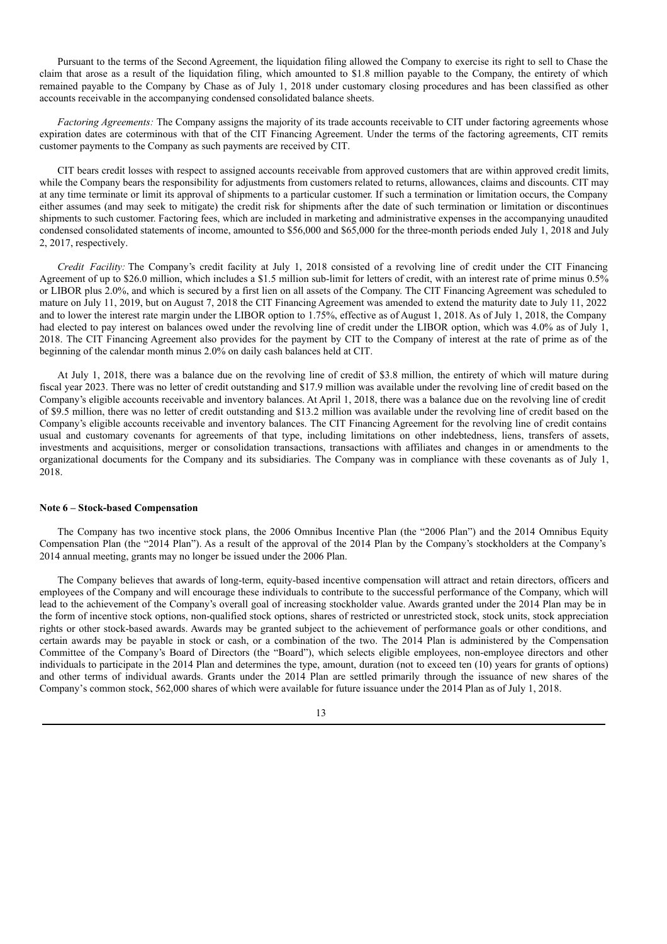Pursuant to the terms of the Second Agreement, the liquidation filing allowed the Company to exercise its right to sell to Chase the claim that arose as a result of the liquidation filing, which amounted to \$1.8 million payable to the Company, the entirety of which remained payable to the Company by Chase as of July 1, 2018 under customary closing procedures and has been classified as other accounts receivable in the accompanying condensed consolidated balance sheets.

*Factoring Agreements:* The Company assigns the majority of its trade accounts receivable to CIT under factoring agreements whose expiration dates are coterminous with that of the CIT Financing Agreement. Under the terms of the factoring agreements, CIT remits customer payments to the Company as such payments are received by CIT.

CIT bears credit losses with respect to assigned accounts receivable from approved customers that are within approved credit limits, while the Company bears the responsibility for adjustments from customers related to returns, allowances, claims and discounts. CIT may at any time terminate or limit its approval of shipments to a particular customer. If such a termination or limitation occurs, the Company either assumes (and may seek to mitigate) the credit risk for shipments after the date of such termination or limitation or discontinues shipments to such customer. Factoring fees, which are included in marketing and administrative expenses in the accompanying unaudited condensed consolidated statements of income, amounted to \$56,000 and \$65,000 for the three-month periods ended July 1, 2018 and July 2, 2017, respectively.

*Credit Facility:* The Company's credit facility at July 1, 2018 consisted of a revolving line of credit under the CIT Financing Agreement of up to \$26.0 million, which includes a \$1.5 million sub-limit for letters of credit, with an interest rate of prime minus 0.5% or LIBOR plus 2.0%, and which is secured by a first lien on all assets of the Company. The CIT Financing Agreement was scheduled to mature on July 11, 2019, but on August 7, 2018 the CIT Financing Agreement was amended to extend the maturity date to July 11, 2022 and to lower the interest rate margin under the LIBOR option to 1.75%, effective as of August 1, 2018. As of July 1, 2018, the Company had elected to pay interest on balances owed under the revolving line of credit under the LIBOR option, which was 4.0% as of July 1, 2018. The CIT Financing Agreement also provides for the payment by CIT to the Company of interest at the rate of prime as of the beginning of the calendar month minus 2.0% on daily cash balances held at CIT.

At July 1, 2018, there was a balance due on the revolving line of credit of \$3.8 million, the entirety of which will mature during fiscal year 2023. There was no letter of credit outstanding and \$17.9 million was available under the revolving line of credit based on the Company's eligible accounts receivable and inventory balances. At April 1, 2018, there was a balance due on the revolving line of credit of \$9.5 million, there was no letter of credit outstanding and \$13.2 million was available under the revolving line of credit based on the Company's eligible accounts receivable and inventory balances. The CIT Financing Agreement for the revolving line of credit contains usual and customary covenants for agreements of that type, including limitations on other indebtedness, liens, transfers of assets, investments and acquisitions, merger or consolidation transactions, transactions with affiliates and changes in or amendments to the organizational documents for the Company and its subsidiaries. The Company was in compliance with these covenants as of July 1, 2018.

#### **Note 6 – Stock-based Compensation**

The Company has two incentive stock plans, the 2006 Omnibus Incentive Plan (the "2006 Plan") and the 2014 Omnibus Equity Compensation Plan (the "2014 Plan"). As a result of the approval of the 2014 Plan by the Company's stockholders at the Company's 2014 annual meeting, grants may no longer be issued under the 2006 Plan.

The Company believes that awards of long-term, equity-based incentive compensation will attract and retain directors, officers and employees of the Company and will encourage these individuals to contribute to the successful performance of the Company, which will lead to the achievement of the Company's overall goal of increasing stockholder value. Awards granted under the 2014 Plan may be in the form of incentive stock options, non-qualified stock options, shares of restricted or unrestricted stock, stock units, stock appreciation rights or other stock-based awards. Awards may be granted subject to the achievement of performance goals or other conditions, and certain awards may be payable in stock or cash, or a combination of the two. The 2014 Plan is administered by the Compensation Committee of the Company's Board of Directors (the "Board"), which selects eligible employees, non-employee directors and other individuals to participate in the 2014 Plan and determines the type, amount, duration (not to exceed ten (10) years for grants of options) and other terms of individual awards. Grants under the 2014 Plan are settled primarily through the issuance of new shares of the Company's common stock, 562,000 shares of which were available for future issuance under the 2014 Plan as of July 1, 2018.

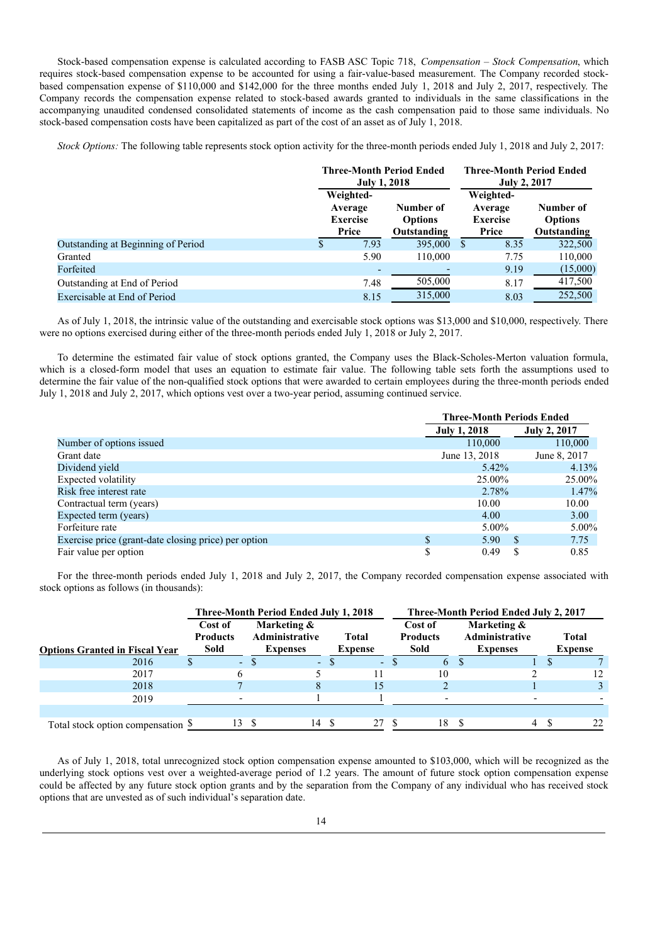Stock-based compensation expense is calculated according to FASB ASC Topic 718, *Compensation – Stock Compensation*, which requires stock-based compensation expense to be accounted for using a fair-value-based measurement. The Company recorded stockbased compensation expense of \$110,000 and \$142,000 for the three months ended July 1, 2018 and July 2, 2017, respectively. The Company records the compensation expense related to stock-based awards granted to individuals in the same classifications in the accompanying unaudited condensed consolidated statements of income as the cash compensation paid to those same individuals. No stock-based compensation costs have been capitalized as part of the cost of an asset as of July 1, 2018.

*Stock Options:* The following table represents stock option activity for the three-month periods ended July 1, 2018 and July 2, 2017:

|                                    |   | <b>July 1, 2018</b>                              | <b>Three-Month Period Ended</b>            |     | <b>Three-Month Period Ended</b><br><b>July 2, 2017</b> |                                            |
|------------------------------------|---|--------------------------------------------------|--------------------------------------------|-----|--------------------------------------------------------|--------------------------------------------|
|                                    |   | Weighted-<br>Average<br><b>Exercise</b><br>Price | Number of<br><b>Options</b><br>Outstanding |     | Weighted-<br>Average<br><b>Exercise</b><br>Price       | Number of<br><b>Options</b><br>Outstanding |
| Outstanding at Beginning of Period | S | 7.93                                             | 395,000                                    | \$. | 8.35                                                   | 322,500                                    |
| Granted                            |   | 5.90                                             | 110,000                                    |     | 7.75                                                   | 110,000                                    |
| Forfeited                          |   |                                                  |                                            |     | 9.19                                                   | (15,000)                                   |
| Outstanding at End of Period       |   | 7.48                                             | 505,000                                    |     | 8.17                                                   | 417,500                                    |
| Exercisable at End of Period       |   | 8.15                                             | 315,000                                    |     | 8.03                                                   | 252,500                                    |

As of July 1, 2018, the intrinsic value of the outstanding and exercisable stock options was \$13,000 and \$10,000, respectively. There were no options exercised during either of the three-month periods ended July 1, 2018 or July 2, 2017.

To determine the estimated fair value of stock options granted, the Company uses the Black-Scholes-Merton valuation formula, which is a closed-form model that uses an equation to estimate fair value. The following table sets forth the assumptions used to determine the fair value of the non-qualified stock options that were awarded to certain employees during the three-month periods ended July 1, 2018 and July 2, 2017, which options vest over a two-year period, assuming continued service.

|                                                      | <b>Three-Month Periods Ended</b> |                     |  |  |  |
|------------------------------------------------------|----------------------------------|---------------------|--|--|--|
|                                                      | <b>July 1, 2018</b>              | <b>July 2, 2017</b> |  |  |  |
| Number of options issued                             | 110,000                          | 110,000             |  |  |  |
| Grant date                                           | June 13, 2018                    | June 8, 2017        |  |  |  |
| Dividend yield                                       | $5.42\%$                         | 4.13%               |  |  |  |
| Expected volatility                                  | 25.00%                           | 25.00%              |  |  |  |
| Risk free interest rate                              | 2.78%                            | 1.47%               |  |  |  |
| Contractual term (years)                             | 10.00                            | 10.00               |  |  |  |
| Expected term (years)                                | 4.00                             | 3.00                |  |  |  |
| Forfeiture rate                                      | $5.00\%$                         | $5.00\%$            |  |  |  |
| Exercise price (grant-date closing price) per option | \$<br>5.90                       | 7.75<br>-S          |  |  |  |
| Fair value per option                                | \$<br>0.49                       | 0.85<br>\$.         |  |  |  |

For the three-month periods ended July 1, 2018 and July 2, 2017, the Company recorded compensation expense associated with stock options as follows (in thousands):

|                                       |                            | Three-Month Period Ended July 1, 2018 |                | Three-Month Period Ended July 2, 2017 |                                      |                |  |  |  |  |  |
|---------------------------------------|----------------------------|---------------------------------------|----------------|---------------------------------------|--------------------------------------|----------------|--|--|--|--|--|
|                                       | Cost of<br><b>Products</b> | Marketing &<br><b>Administrative</b>  | Total          | Cost of<br><b>Products</b>            | Marketing &<br><b>Administrative</b> | Total          |  |  |  |  |  |
| <b>Options Granted in Fiscal Year</b> | Sold                       | <b>Expenses</b>                       | <b>Expense</b> | Sold                                  | <b>Expenses</b>                      | <b>Expense</b> |  |  |  |  |  |
| 2016                                  |                            | $-$ S<br>۰.                           | ۰.             | 6                                     |                                      | S.             |  |  |  |  |  |
| 2017                                  | h                          |                                       |                | 10                                    |                                      | 12             |  |  |  |  |  |
| 2018                                  |                            | 8                                     | 15             |                                       |                                      |                |  |  |  |  |  |
| 2019                                  |                            |                                       |                |                                       |                                      |                |  |  |  |  |  |
|                                       |                            |                                       |                |                                       |                                      |                |  |  |  |  |  |
| Total stock option compensation $\S$  | 13                         | 14 S                                  | 27             | 18                                    | $\overline{4}$                       | 22             |  |  |  |  |  |

As of July 1, 2018, total unrecognized stock option compensation expense amounted to \$103,000, which will be recognized as the underlying stock options vest over a weighted-average period of 1.2 years. The amount of future stock option compensation expense could be affected by any future stock option grants and by the separation from the Company of any individual who has received stock options that are unvested as of such individual's separation date.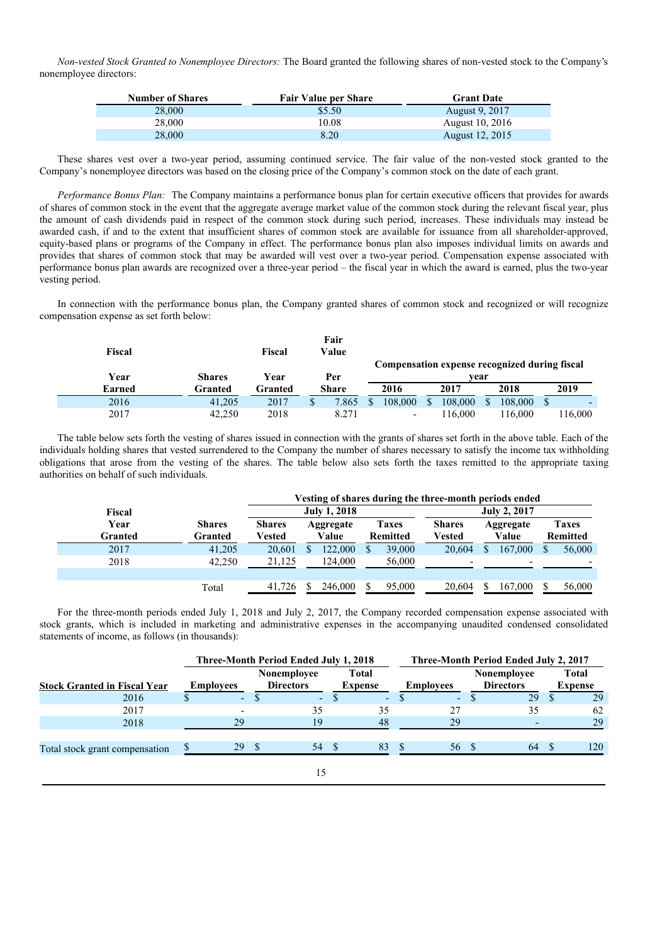*Non-vested Stock Granted to Nonemployee Directors:* The Board granted the following shares of non-vested stock to the Company's nonemployee directors:

| <b>Number of Shares</b> | <b>Fair Value per Share</b> | <b>Grant Date</b> |
|-------------------------|-----------------------------|-------------------|
| 28,000                  | \$5.50                      | August 9, 2017    |
| 28,000                  | 10.08                       | August 10, 2016   |
| 28,000                  | 8.20                        | August 12, 2015   |

These shares vest over a two-year period, assuming continued service. The fair value of the non-vested stock granted to the Company's nonemployee directors was based on the closing price of the Company's common stock on the date of each grant.

*Performance Bonus Plan:* The Company maintains a performance bonus plan for certain executive officers that provides for awards of shares of common stock in the event that the aggregate average market value of the common stock during the relevant fiscal year, plus the amount of cash dividends paid in respect of the common stock during such period, increases. These individuals may instead be awarded cash, if and to the extent that insufficient shares of common stock are available for issuance from all shareholder-approved, equity-based plans or programs of the Company in effect. The performance bonus plan also imposes individual limits on awards and provides that shares of common stock that may be awarded will vest over a two-year period. Compensation expense associated with performance bonus plan awards are recognized over a three-year period – the fiscal year in which the award is earned, plus the two-year vesting period.

In connection with the performance bonus plan, the Company granted shares of common stock and recognized or will recognize compensation expense as set forth below:

|        |               |         | Fair         |                                               |         |         |         |
|--------|---------------|---------|--------------|-----------------------------------------------|---------|---------|---------|
| Fiscal |               | Fiscal  | Value        |                                               |         |         |         |
|        |               |         |              | Compensation expense recognized during fiscal |         |         |         |
| Year   | <b>Shares</b> | Year    | Per          |                                               | vear    |         |         |
| Earned | Granted       | Granted | <b>Share</b> | 2016                                          | 2017    | 2018    | 2019    |
| 2016   | 41,205        | 2017    | 7.865        | 108,000                                       | 108,000 | 108,000 |         |
| 2017   | 42,250        | 2018    | 8.271        | $\overline{\phantom{0}}$                      | 16.000  | 116,000 | 116.000 |

The table below sets forth the vesting of shares issued in connection with the grants of shares set forth in the above table. Each of the individuals holding shares that vested surrendered to the Company the number of shares necessary to satisfy the income tax withholding obligations that arose from the vesting of the shares. The table below also sets forth the taxes remitted to the appropriate taxing authorities on behalf of such individuals.

|                 |                          | Vesting of shares during the three-month periods ended |  |                          |  |                         |                          |  |                                 |  |        |  |
|-----------------|--------------------------|--------------------------------------------------------|--|--------------------------|--|-------------------------|--------------------------|--|---------------------------------|--|--------|--|
| Fiscal          |                          |                                                        |  | <b>July 1, 2018</b>      |  |                         | <b>July 2, 2017</b>      |  |                                 |  |        |  |
| Year<br>Granted | <b>Shares</b><br>Granted | <b>Shares</b><br>Aggregate<br>Vested<br>Value          |  | Taxes<br><b>Remitted</b> |  | <b>Shares</b><br>Vested | Aggregate<br>Value       |  | <b>Taxes</b><br><b>Remitted</b> |  |        |  |
| 2017            | 41,205                   | 20,601                                                 |  | 122,000                  |  | 39,000                  | 20,604                   |  | 167,000                         |  | 56,000 |  |
| 2018            | 42.250                   | 21.125                                                 |  | 124,000                  |  | 56,000                  | $\overline{\phantom{0}}$ |  | -                               |  |        |  |
|                 |                          |                                                        |  |                          |  |                         |                          |  |                                 |  |        |  |
|                 | Total                    | 41,726                                                 |  | 246,000                  |  | 95,000                  | 20,604                   |  | 167,000                         |  | 56,000 |  |

For the three-month periods ended July 1, 2018 and July 2, 2017, the Company recorded compensation expense associated with stock grants, which is included in marketing and administrative expenses in the accompanying unaudited condensed consolidated statements of income, as follows (in thousands):

|                                     |                  | Three-Month Period Ended July 1, 2018 |  |                  |              |                |  | Three-Month Period Ended July 2, 2017 |             |                  |   |                |  |  |  |
|-------------------------------------|------------------|---------------------------------------|--|------------------|--------------|----------------|--|---------------------------------------|-------------|------------------|---|----------------|--|--|--|
|                                     |                  |                                       |  | Nonemployee      | <b>Total</b> |                |  |                                       | Nonemployee |                  |   | <b>Total</b>   |  |  |  |
| <b>Stock Granted in Fiscal Year</b> | <b>Employees</b> |                                       |  | <b>Directors</b> |              | <b>Expense</b> |  | <b>Employees</b>                      |             | <b>Directors</b> |   | <b>Expense</b> |  |  |  |
| 2016                                |                  | ۰.                                    |  | ۰.               |              | ٠              |  | $\overline{\phantom{0}}$              |             | 29               | S | 29             |  |  |  |
| 2017                                |                  |                                       |  | 35               |              | 35             |  | 27                                    |             | 35               |   | 62             |  |  |  |
| 2018                                |                  | 29                                    |  | 19               |              | 48             |  | 29                                    |             |                  |   | 29             |  |  |  |
|                                     |                  |                                       |  |                  |              |                |  |                                       |             |                  |   |                |  |  |  |
| Total stock grant compensation      |                  | 29                                    |  | 54               |              | 83             |  | 56 \$                                 |             | 64               |   | 120            |  |  |  |
|                                     |                  |                                       |  |                  |              |                |  |                                       |             |                  |   |                |  |  |  |
|                                     |                  |                                       |  | 1 <sup>5</sup>   |              |                |  |                                       |             |                  |   |                |  |  |  |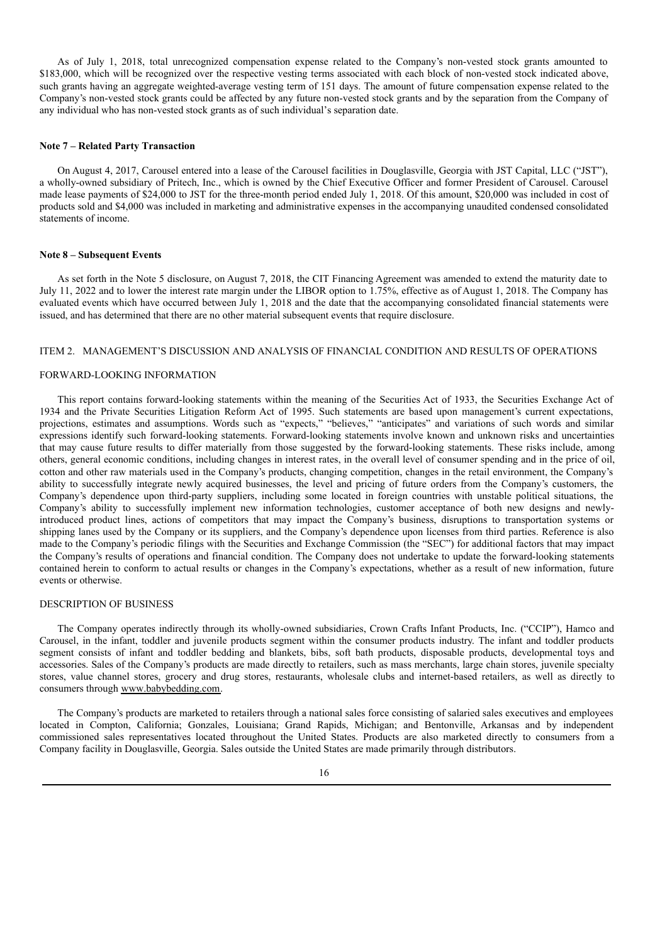As of July 1, 2018, total unrecognized compensation expense related to the Company's non-vested stock grants amounted to \$183,000, which will be recognized over the respective vesting terms associated with each block of non-vested stock indicated above, such grants having an aggregate weighted-average vesting term of 151 days. The amount of future compensation expense related to the Company's non-vested stock grants could be affected by any future non-vested stock grants and by the separation from the Company of any individual who has non-vested stock grants as of such individual's separation date.

### **Note 7 – Related Party Transaction**

On August 4, 2017, Carousel entered into a lease of the Carousel facilities in Douglasville, Georgia with JST Capital, LLC ("JST"), a wholly-owned subsidiary of Pritech, Inc., which is owned by the Chief Executive Officer and former President of Carousel. Carousel made lease payments of \$24,000 to JST for the three-month period ended July 1, 2018. Of this amount, \$20,000 was included in cost of products sold and \$4,000 was included in marketing and administrative expenses in the accompanying unaudited condensed consolidated statements of income.

### **Note 8 – Subsequent Events**

As set forth in the Note 5 disclosure, on August 7, 2018, the CIT Financing Agreement was amended to extend the maturity date to July 11, 2022 and to lower the interest rate margin under the LIBOR option to 1.75%, effective as of August 1, 2018. The Company has evaluated events which have occurred between July 1, 2018 and the date that the accompanying consolidated financial statements were issued, and has determined that there are no other material subsequent events that require disclosure.

## ITEM 2. MANAGEMENT'S DISCUSSION AND ANALYSIS OF FINANCIAL CONDITION AND RESULTS OF OPERATIONS

### FORWARD-LOOKING INFORMATION

This report contains forward-looking statements within the meaning of the Securities Act of 1933, the Securities Exchange Act of 1934 and the Private Securities Litigation Reform Act of 1995. Such statements are based upon management's current expectations, projections, estimates and assumptions. Words such as "expects," "believes," "anticipates" and variations of such words and similar expressions identify such forward-looking statements. Forward-looking statements involve known and unknown risks and uncertainties that may cause future results to differ materially from those suggested by the forward-looking statements. These risks include, among others, general economic conditions, including changes in interest rates, in the overall level of consumer spending and in the price of oil, cotton and other raw materials used in the Company's products, changing competition, changes in the retail environment, the Company's ability to successfully integrate newly acquired businesses, the level and pricing of future orders from the Company's customers, the Company's dependence upon third-party suppliers, including some located in foreign countries with unstable political situations, the Company's ability to successfully implement new information technologies, customer acceptance of both new designs and newlyintroduced product lines, actions of competitors that may impact the Company's business, disruptions to transportation systems or shipping lanes used by the Company or its suppliers, and the Company's dependence upon licenses from third parties. Reference is also made to the Company's periodic filings with the Securities and Exchange Commission (the "SEC") for additional factors that may impact the Company's results of operations and financial condition. The Company does not undertake to update the forward-looking statements contained herein to conform to actual results or changes in the Company's expectations, whether as a result of new information, future events or otherwise.

#### DESCRIPTION OF BUSINESS

The Company operates indirectly through its wholly-owned subsidiaries, Crown Crafts Infant Products, Inc. ("CCIP"), Hamco and Carousel, in the infant, toddler and juvenile products segment within the consumer products industry. The infant and toddler products segment consists of infant and toddler bedding and blankets, bibs, soft bath products, disposable products, developmental toys and accessories. Sales of the Company's products are made directly to retailers, such as mass merchants, large chain stores, juvenile specialty stores, value channel stores, grocery and drug stores, restaurants, wholesale clubs and internet-based retailers, as well as directly to consumers through www.babybedding.com.

The Company's products are marketed to retailers through a national sales force consisting of salaried sales executives and employees located in Compton, California; Gonzales, Louisiana; Grand Rapids, Michigan; and Bentonville, Arkansas and by independent commissioned sales representatives located throughout the United States. Products are also marketed directly to consumers from a Company facility in Douglasville, Georgia. Sales outside the United States are made primarily through distributors.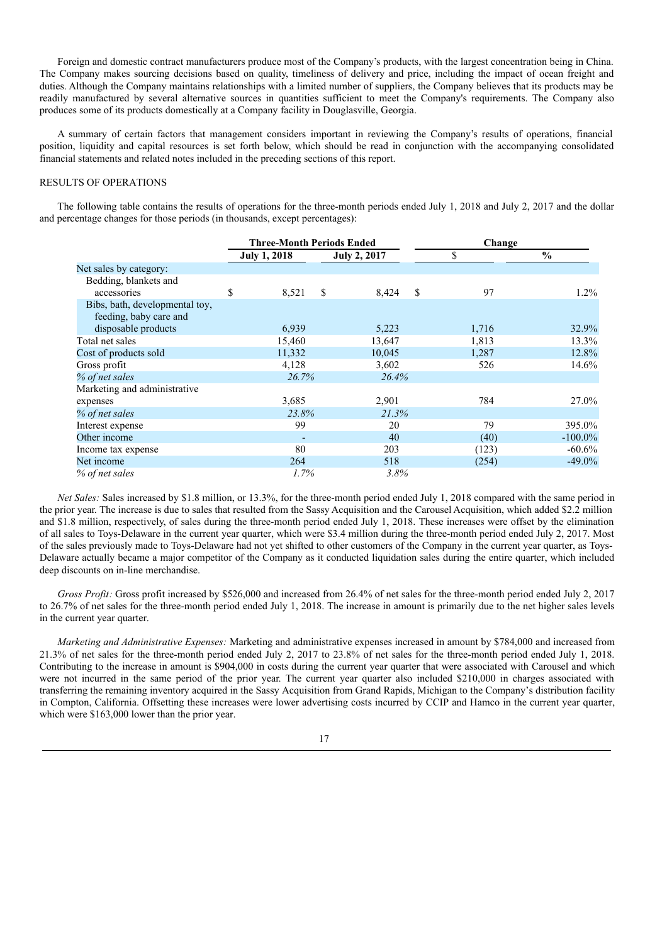Foreign and domestic contract manufacturers produce most of the Company's products, with the largest concentration being in China. The Company makes sourcing decisions based on quality, timeliness of delivery and price, including the impact of ocean freight and duties. Although the Company maintains relationships with a limited number of suppliers, the Company believes that its products may be readily manufactured by several alternative sources in quantities sufficient to meet the Company's requirements. The Company also produces some of its products domestically at a Company facility in Douglasville, Georgia.

A summary of certain factors that management considers important in reviewing the Company's results of operations, financial position, liquidity and capital resources is set forth below, which should be read in conjunction with the accompanying consolidated financial statements and related notes included in the preceding sections of this report.

### RESULTS OF OPERATIONS

The following table contains the results of operations for the three-month periods ended July 1, 2018 and July 2, 2017 and the dollar and percentage changes for those periods (in thousands, except percentages):

|                                | <b>Three-Month Periods Ended</b> |                     |        |    | Change |               |  |  |  |  |
|--------------------------------|----------------------------------|---------------------|--------|----|--------|---------------|--|--|--|--|
|                                | <b>July 1, 2018</b>              | <b>July 2, 2017</b> |        |    | \$     | $\frac{0}{0}$ |  |  |  |  |
| Net sales by category:         |                                  |                     |        |    |        |               |  |  |  |  |
| Bedding, blankets and          |                                  |                     |        |    |        |               |  |  |  |  |
| accessories                    | \$<br>8,521                      | <sup>\$</sup>       | 8,424  | \$ | 97     | $1.2\%$       |  |  |  |  |
| Bibs, bath, developmental toy, |                                  |                     |        |    |        |               |  |  |  |  |
| feeding, baby care and         |                                  |                     |        |    |        |               |  |  |  |  |
| disposable products            | 6,939                            |                     | 5,223  |    | 1,716  | $32.9\%$      |  |  |  |  |
| Total net sales                | 15,460                           |                     | 13,647 |    | 1,813  | 13.3%         |  |  |  |  |
| Cost of products sold          | 11,332                           |                     | 10,045 |    | 1,287  | 12.8%         |  |  |  |  |
| Gross profit                   | 4,128                            |                     | 3,602  |    | 526    | $14.6\%$      |  |  |  |  |
| % of net sales                 | 26.7%                            |                     | 26.4%  |    |        |               |  |  |  |  |
| Marketing and administrative   |                                  |                     |        |    |        |               |  |  |  |  |
| expenses                       | 3,685                            |                     | 2,901  |    | 784    | 27.0%         |  |  |  |  |
| % of net sales                 | 23.8%                            |                     | 21.3%  |    |        |               |  |  |  |  |
| Interest expense               | 99                               |                     | 20     |    | 79     | 395.0%        |  |  |  |  |
| Other income                   | -                                |                     | 40     |    | (40)   | $-100.0\%$    |  |  |  |  |
| Income tax expense             | 80                               |                     | 203    |    | (123)  | $-60.6\%$     |  |  |  |  |
| Net income                     | 264                              |                     | 518    |    | (254)  | $-49.0\%$     |  |  |  |  |
| % of net sales                 | $1.7\%$                          |                     | 3.8%   |    |        |               |  |  |  |  |

*Net Sales:* Sales increased by \$1.8 million, or 13.3%, for the three-month period ended July 1, 2018 compared with the same period in the prior year. The increase is due to sales that resulted from the Sassy Acquisition and the Carousel Acquisition, which added \$2.2 million and \$1.8 million, respectively, of sales during the three-month period ended July 1, 2018. These increases were offset by the elimination of all sales to Toys-Delaware in the current year quarter, which were \$3.4 million during the three-month period ended July 2, 2017. Most of the sales previously made to Toys-Delaware had not yet shifted to other customers of the Company in the current year quarter, as Toys-Delaware actually became a major competitor of the Company as it conducted liquidation sales during the entire quarter, which included deep discounts on in-line merchandise.

*Gross Profit:* Gross profit increased by \$526,000 and increased from 26.4% of net sales for the three-month period ended July 2, 2017 to 26.7% of net sales for the three-month period ended July 1, 2018. The increase in amount is primarily due to the net higher sales levels in the current year quarter.

*Marketing and Administrative Expenses:* Marketing and administrative expenses increased in amount by \$784,000 and increased from 21.3% of net sales for the three-month period ended July 2, 2017 to 23.8% of net sales for the three-month period ended July 1, 2018. Contributing to the increase in amount is \$904,000 in costs during the current year quarter that were associated with Carousel and which were not incurred in the same period of the prior year. The current year quarter also included \$210,000 in charges associated with transferring the remaining inventory acquired in the Sassy Acquisition from Grand Rapids, Michigan to the Company's distribution facility in Compton, California. Offsetting these increases were lower advertising costs incurred by CCIP and Hamco in the current year quarter, which were \$163,000 lower than the prior year.

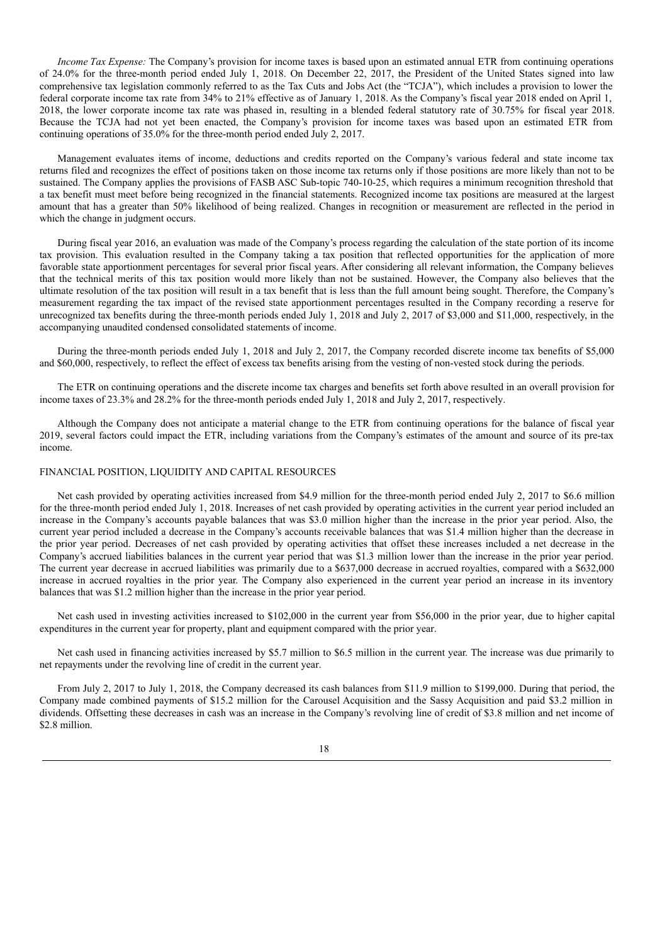*Income Tax Expense:* The Company's provision for income taxes is based upon an estimated annual ETR from continuing operations of 24.0% for the three-month period ended July 1, 2018. On December 22, 2017, the President of the United States signed into law comprehensive tax legislation commonly referred to as the Tax Cuts and Jobs Act (the "TCJA"), which includes a provision to lower the federal corporate income tax rate from 34% to 21% effective as of January 1, 2018. As the Company's fiscal year 2018 ended on April 1, 2018, the lower corporate income tax rate was phased in, resulting in a blended federal statutory rate of 30.75% for fiscal year 2018. Because the TCJA had not yet been enacted, the Company's provision for income taxes was based upon an estimated ETR from continuing operations of 35.0% for the three-month period ended July 2, 2017.

Management evaluates items of income, deductions and credits reported on the Company's various federal and state income tax returns filed and recognizes the effect of positions taken on those income tax returns only if those positions are more likely than not to be sustained. The Company applies the provisions of FASB ASC Sub-topic 740-10-25, which requires a minimum recognition threshold that a tax benefit must meet before being recognized in the financial statements. Recognized income tax positions are measured at the largest amount that has a greater than 50% likelihood of being realized. Changes in recognition or measurement are reflected in the period in which the change in judgment occurs.

During fiscal year 2016, an evaluation was made of the Company's process regarding the calculation of the state portion of its income tax provision. This evaluation resulted in the Company taking a tax position that reflected opportunities for the application of more favorable state apportionment percentages for several prior fiscal years. After considering all relevant information, the Company believes that the technical merits of this tax position would more likely than not be sustained. However, the Company also believes that the ultimate resolution of the tax position will result in a tax benefit that is less than the full amount being sought. Therefore, the Company's measurement regarding the tax impact of the revised state apportionment percentages resulted in the Company recording a reserve for unrecognized tax benefits during the three-month periods ended July 1, 2018 and July 2, 2017 of \$3,000 and \$11,000, respectively, in the accompanying unaudited condensed consolidated statements of income.

During the three-month periods ended July 1, 2018 and July 2, 2017, the Company recorded discrete income tax benefits of \$5,000 and \$60,000, respectively, to reflect the effect of excess tax benefits arising from the vesting of non-vested stock during the periods.

The ETR on continuing operations and the discrete income tax charges and benefits set forth above resulted in an overall provision for income taxes of 23.3% and 28.2% for the three-month periods ended July 1, 2018 and July 2, 2017, respectively.

Although the Company does not anticipate a material change to the ETR from continuing operations for the balance of fiscal year 2019, several factors could impact the ETR, including variations from the Company's estimates of the amount and source of its pre-tax income.

### FINANCIAL POSITION, LIQUIDITY AND CAPITAL RESOURCES

Net cash provided by operating activities increased from \$4.9 million for the three-month period ended July 2, 2017 to \$6.6 million for the three-month period ended July 1, 2018. Increases of net cash provided by operating activities in the current year period included an increase in the Company's accounts payable balances that was \$3.0 million higher than the increase in the prior year period. Also, the current year period included a decrease in the Company's accounts receivable balances that was \$1.4 million higher than the decrease in the prior year period. Decreases of net cash provided by operating activities that offset these increases included a net decrease in the Company's accrued liabilities balances in the current year period that was \$1.3 million lower than the increase in the prior year period. The current year decrease in accrued liabilities was primarily due to a \$637,000 decrease in accrued royalties, compared with a \$632,000 increase in accrued royalties in the prior year. The Company also experienced in the current year period an increase in its inventory balances that was \$1.2 million higher than the increase in the prior year period.

Net cash used in investing activities increased to \$102,000 in the current year from \$56,000 in the prior year, due to higher capital expenditures in the current year for property, plant and equipment compared with the prior year.

Net cash used in financing activities increased by \$5.7 million to \$6.5 million in the current year. The increase was due primarily to net repayments under the revolving line of credit in the current year.

From July 2, 2017 to July 1, 2018, the Company decreased its cash balances from \$11.9 million to \$199,000. During that period, the Company made combined payments of \$15.2 million for the Carousel Acquisition and the Sassy Acquisition and paid \$3.2 million in dividends. Offsetting these decreases in cash was an increase in the Company's revolving line of credit of \$3.8 million and net income of \$2.8 million.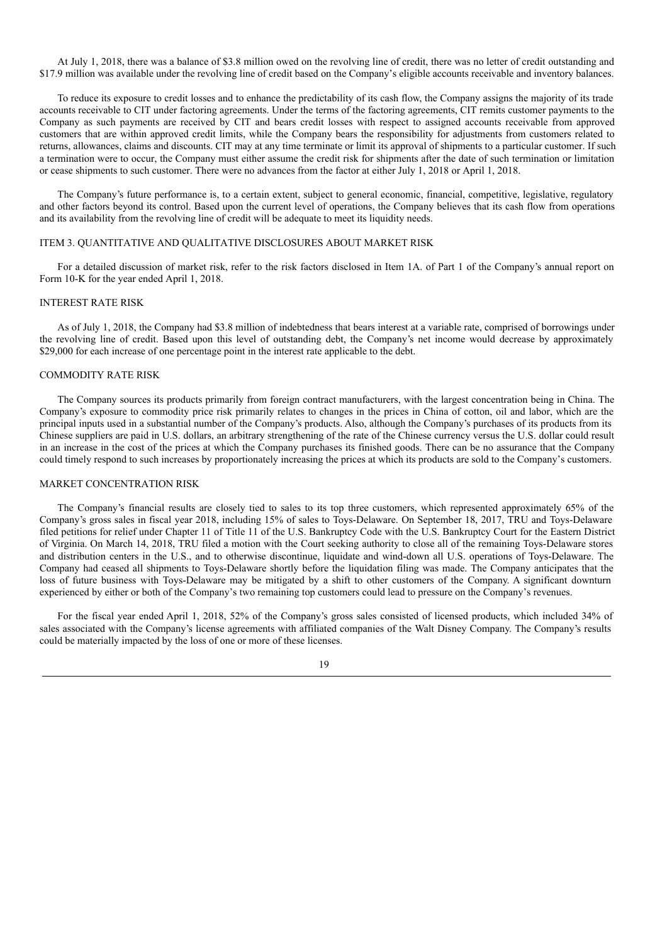At July 1, 2018, there was a balance of \$3.8 million owed on the revolving line of credit, there was no letter of credit outstanding and \$17.9 million was available under the revolving line of credit based on the Company's eligible accounts receivable and inventory balances.

To reduce its exposure to credit losses and to enhance the predictability of its cash flow, the Company assigns the majority of its trade accounts receivable to CIT under factoring agreements. Under the terms of the factoring agreements, CIT remits customer payments to the Company as such payments are received by CIT and bears credit losses with respect to assigned accounts receivable from approved customers that are within approved credit limits, while the Company bears the responsibility for adjustments from customers related to returns, allowances, claims and discounts. CIT may at any time terminate or limit its approval of shipments to a particular customer. If such a termination were to occur, the Company must either assume the credit risk for shipments after the date of such termination or limitation or cease shipments to such customer. There were no advances from the factor at either July 1, 2018 or April 1, 2018.

The Company's future performance is, to a certain extent, subject to general economic, financial, competitive, legislative, regulatory and other factors beyond its control. Based upon the current level of operations, the Company believes that its cash flow from operations and its availability from the revolving line of credit will be adequate to meet its liquidity needs.

#### ITEM 3. QUANTITATIVE AND QUALITATIVE DISCLOSURES ABOUT MARKET RISK

For a detailed discussion of market risk, refer to the risk factors disclosed in Item 1A. of Part 1 of the Company's annual report on Form 10-K for the year ended April 1, 2018.

## INTEREST RATE RISK

As of July 1, 2018, the Company had \$3.8 million of indebtedness that bears interest at a variable rate, comprised of borrowings under the revolving line of credit. Based upon this level of outstanding debt, the Company's net income would decrease by approximately \$29,000 for each increase of one percentage point in the interest rate applicable to the debt.

### COMMODITY RATE RISK

The Company sources its products primarily from foreign contract manufacturers, with the largest concentration being in China. The Company's exposure to commodity price risk primarily relates to changes in the prices in China of cotton, oil and labor, which are the principal inputs used in a substantial number of the Company's products. Also, although the Company's purchases of its products from its Chinese suppliers are paid in U.S. dollars, an arbitrary strengthening of the rate of the Chinese currency versus the U.S. dollar could result in an increase in the cost of the prices at which the Company purchases its finished goods. There can be no assurance that the Company could timely respond to such increases by proportionately increasing the prices at which its products are sold to the Company's customers.

#### MARKET CONCENTRATION RISK

The Company's financial results are closely tied to sales to its top three customers, which represented approximately 65% of the Company's gross sales in fiscal year 2018, including 15% of sales to Toys-Delaware. On September 18, 2017, TRU and Toys-Delaware filed petitions for relief under Chapter 11 of Title 11 of the U.S. Bankruptcy Code with the U.S. Bankruptcy Court for the Eastern District of Virginia. On March 14, 2018, TRU filed a motion with the Court seeking authority to close all of the remaining Toys-Delaware stores and distribution centers in the U.S., and to otherwise discontinue, liquidate and wind-down all U.S. operations of Toys-Delaware. The Company had ceased all shipments to Toys-Delaware shortly before the liquidation filing was made. The Company anticipates that the loss of future business with Toys-Delaware may be mitigated by a shift to other customers of the Company. A significant downturn experienced by either or both of the Company's two remaining top customers could lead to pressure on the Company's revenues.

For the fiscal year ended April 1, 2018, 52% of the Company's gross sales consisted of licensed products, which included 34% of sales associated with the Company's license agreements with affiliated companies of the Walt Disney Company. The Company's results could be materially impacted by the loss of one or more of these licenses.

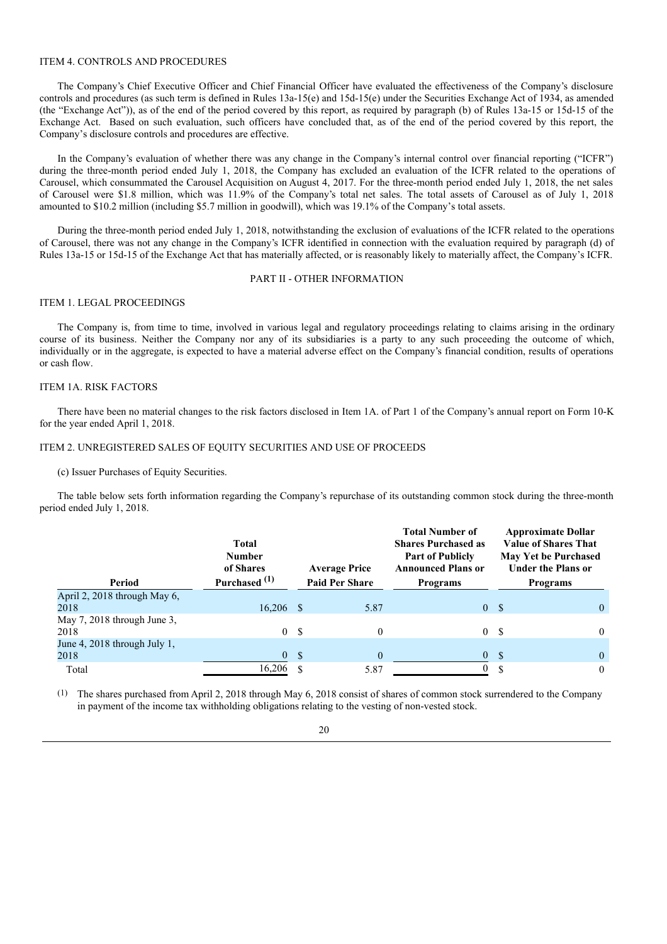#### ITEM 4. CONTROLS AND PROCEDURES

The Company's Chief Executive Officer and Chief Financial Officer have evaluated the effectiveness of the Company's disclosure controls and procedures (as such term is defined in Rules 13a-15(e) and 15d-15(e) under the Securities Exchange Act of 1934, as amended (the "Exchange Act")), as of the end of the period covered by this report, as required by paragraph (b) of Rules 13a-15 or 15d-15 of the Exchange Act. Based on such evaluation, such officers have concluded that, as of the end of the period covered by this report, the Company's disclosure controls and procedures are effective.

In the Company's evaluation of whether there was any change in the Company's internal control over financial reporting ("ICFR") during the three-month period ended July 1, 2018, the Company has excluded an evaluation of the ICFR related to the operations of Carousel, which consummated the Carousel Acquisition on August 4, 2017. For the three-month period ended July 1, 2018, the net sales of Carousel were \$1.8 million, which was 11.9% of the Company's total net sales. The total assets of Carousel as of July 1, 2018 amounted to \$10.2 million (including \$5.7 million in goodwill), which was 19.1% of the Company's total assets.

During the three-month period ended July 1, 2018, notwithstanding the exclusion of evaluations of the ICFR related to the operations of Carousel, there was not any change in the Company's ICFR identified in connection with the evaluation required by paragraph (d) of Rules 13a-15 or 15d-15 of the Exchange Act that has materially affected, or is reasonably likely to materially affect, the Company's ICFR.

## PART II - OTHER INFORMATION

## ITEM 1. LEGAL PROCEEDINGS

The Company is, from time to time, involved in various legal and regulatory proceedings relating to claims arising in the ordinary course of its business. Neither the Company nor any of its subsidiaries is a party to any such proceeding the outcome of which, individually or in the aggregate, is expected to have a material adverse effect on the Company's financial condition, results of operations or cash flow.

## ITEM 1A. RISK FACTORS

There have been no material changes to the risk factors disclosed in Item 1A. of Part 1 of the Company's annual report on Form 10-K for the year ended April 1, 2018.

### ITEM 2. UNREGISTERED SALES OF EQUITY SECURITIES AND USE OF PROCEEDS

### (c) Issuer Purchases of Equity Securities.

The table below sets forth information regarding the Company's repurchase of its outstanding common stock during the three-month period ended July 1, 2018.

| Period                        | <b>Total</b><br><b>Number</b><br>of Shares<br>Purchased <sup>(1)</sup> | <b>Average Price</b><br><b>Paid Per Share</b> |          | <b>Total Number of</b><br><b>Shares Purchased as</b><br><b>Part of Publicly</b><br><b>Announced Plans or</b><br><b>Programs</b> | <b>Approximate Dollar</b><br><b>Value of Shares That</b><br><b>May Yet be Purchased</b><br><b>Under the Plans or</b><br><b>Programs</b> |          |  |  |
|-------------------------------|------------------------------------------------------------------------|-----------------------------------------------|----------|---------------------------------------------------------------------------------------------------------------------------------|-----------------------------------------------------------------------------------------------------------------------------------------|----------|--|--|
| April 2, 2018 through May 6,  |                                                                        |                                               |          |                                                                                                                                 |                                                                                                                                         |          |  |  |
| 2018                          | $16,206$ \$                                                            |                                               | 5.87     | 0 S                                                                                                                             |                                                                                                                                         | $\theta$ |  |  |
| May $7, 2018$ through June 3, |                                                                        |                                               |          |                                                                                                                                 |                                                                                                                                         |          |  |  |
| 2018                          | 0 <sup>5</sup>                                                         |                                               | $\Omega$ | 0 S                                                                                                                             |                                                                                                                                         | $\theta$ |  |  |
| June 4, 2018 through July 1,  |                                                                        |                                               |          |                                                                                                                                 |                                                                                                                                         |          |  |  |
| 2018                          | $\theta$                                                               | $\mathcal{S}$                                 | $\theta$ | $\overline{0}$                                                                                                                  | -S                                                                                                                                      | $\Omega$ |  |  |
| Total                         | 16,206                                                                 | S                                             | 5.87     | 0                                                                                                                               | S                                                                                                                                       | $\theta$ |  |  |

(1) The shares purchased from April 2, 2018 through May 6, 2018 consist of shares of common stock surrendered to the Company in payment of the income tax withholding obligations relating to the vesting of non-vested stock.

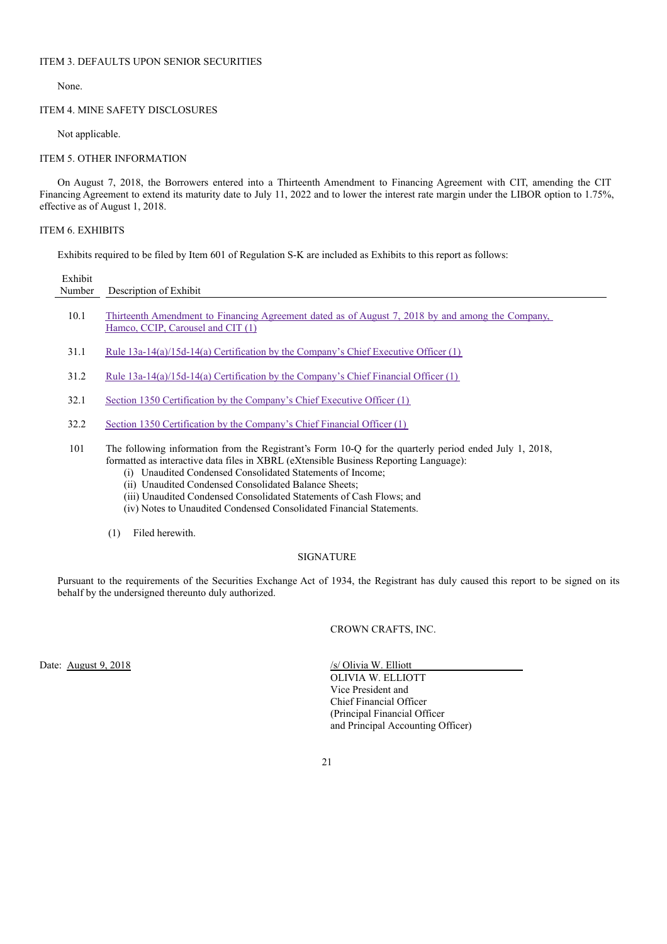### ITEM 3. DEFAULTS UPON SENIOR SECURITIES

None.

### ITEM 4. MINE SAFETY DISCLOSURES

Not applicable.

## ITEM 5. OTHER INFORMATION

On August 7, 2018, the Borrowers entered into a Thirteenth Amendment to Financing Agreement with CIT, amending the CIT Financing Agreement to extend its maturity date to July 11, 2022 and to lower the interest rate margin under the LIBOR option to 1.75%, effective as of August 1, 2018.

## ITEM 6. EXHIBITS

÷,

Exhibits required to be filed by Item 601 of Regulation S-K are included as Exhibits to this report as follows:

| Exhibit<br>Number | Description of Exhibit                                                                                                                                                                                                                                                                                                                                                                                                                                                 |
|-------------------|------------------------------------------------------------------------------------------------------------------------------------------------------------------------------------------------------------------------------------------------------------------------------------------------------------------------------------------------------------------------------------------------------------------------------------------------------------------------|
| 10.1              | Thirteenth Amendment to Financing Agreement dated as of August 7, 2018 by and among the Company,<br>Hamco, CCIP, Carousel and CIT (1)                                                                                                                                                                                                                                                                                                                                  |
| 31.1              | Rule $13a-14(a)/15d-14(a)$ Certification by the Company's Chief Executive Officer (1)                                                                                                                                                                                                                                                                                                                                                                                  |
| 31.2              | Rule $13a-14(a)/15d-14(a)$ Certification by the Company's Chief Financial Officer (1)                                                                                                                                                                                                                                                                                                                                                                                  |
| 32.1              | Section 1350 Certification by the Company's Chief Executive Officer (1)                                                                                                                                                                                                                                                                                                                                                                                                |
| 32.2              | Section 1350 Certification by the Company's Chief Financial Officer (1)                                                                                                                                                                                                                                                                                                                                                                                                |
| 101               | The following information from the Registrant's Form 10-Q for the quarterly period ended July 1, 2018,<br>formatted as interactive data files in XBRL (eXtensible Business Reporting Language):<br>(i) Unaudited Condensed Consolidated Statements of Income;<br>(ii) Unaudited Condensed Consolidated Balance Sheets;<br>(iii) Unaudited Condensed Consolidated Statements of Cash Flows; and<br>(iv) Notes to Unaudited Condensed Consolidated Financial Statements. |

(1) Filed herewith.

## SIGNATURE

Pursuant to the requirements of the Securities Exchange Act of 1934, the Registrant has duly caused this report to be signed on its behalf by the undersigned thereunto duly authorized.

CROWN CRAFTS, INC.

Date: August 9, 2018 /s/ Olivia W. Elliott

OLIVIA W. ELLIOTT Vice President and Chief Financial Officer (Principal Financial Officer and Principal Accounting Officer)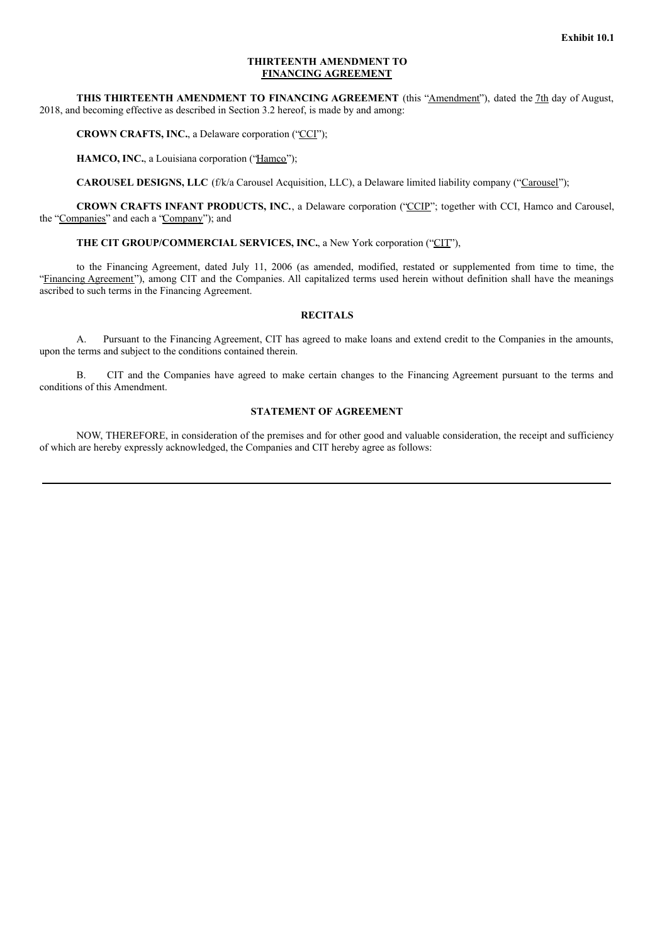#### **THIRTEENTH AMENDMENT TO FINANCING AGREEMENT**

**THIS THIRTEENTH AMENDMENT TO FINANCING AGREEMENT** (this "Amendment"), dated the 7th day of August, 2018, and becoming effective as described in Section 3.2 hereof, is made by and among:

**CROWN CRAFTS, INC.**, a Delaware corporation ("CCI");

**HAMCO, INC.**, a Louisiana corporation ("Hamco");

**CAROUSEL DESIGNS, LLC** (f/k/a Carousel Acquisition, LLC), a Delaware limited liability company ("Carousel");

**CROWN CRAFTS INFANT PRODUCTS, INC.**, a Delaware corporation ("CCIP"; together with CCI, Hamco and Carousel, the "Companies" and each a "Company"); and

**THE CIT GROUP/COMMERCIAL SERVICES, INC.**, a New York corporation ("CIT"),

to the Financing Agreement, dated July 11, 2006 (as amended, modified, restated or supplemented from time to time, the "Financing Agreement"), among CIT and the Companies. All capitalized terms used herein without definition shall have the meanings ascribed to such terms in the Financing Agreement.

### **RECITALS**

A. Pursuant to the Financing Agreement, CIT has agreed to make loans and extend credit to the Companies in the amounts, upon the terms and subject to the conditions contained therein.

B. CIT and the Companies have agreed to make certain changes to the Financing Agreement pursuant to the terms and conditions of this Amendment.

## **STATEMENT OF AGREEMENT**

NOW, THEREFORE, in consideration of the premises and for other good and valuable consideration, the receipt and sufficiency of which are hereby expressly acknowledged, the Companies and CIT hereby agree as follows: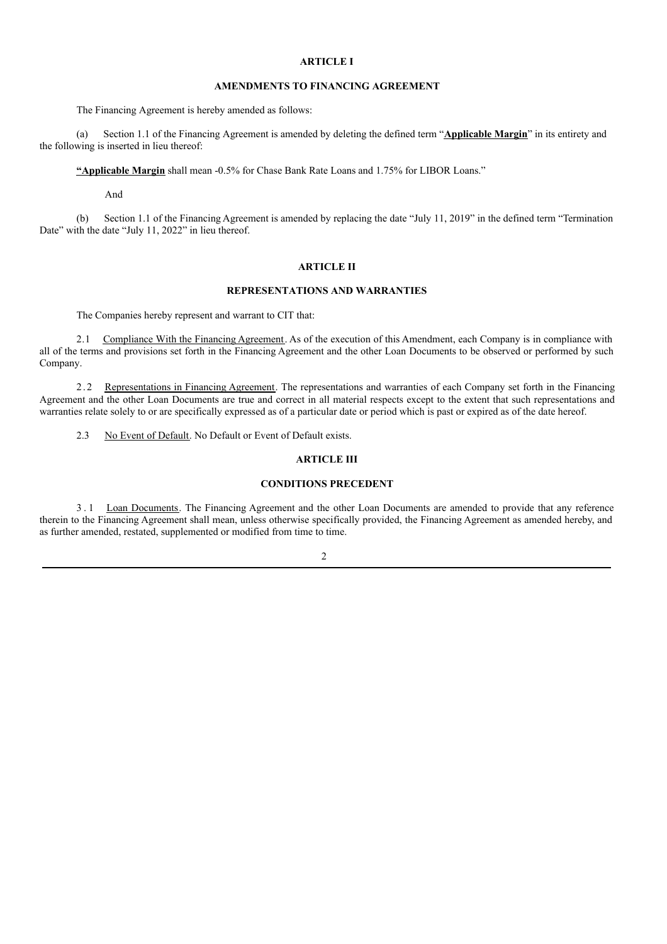#### **ARTICLE I**

### **AMENDMENTS TO FINANCING AGREEMENT**

The Financing Agreement is hereby amended as follows:

(a) Section 1.1 of the Financing Agreement is amended by deleting the defined term "**Applicable Margin**" in its entirety and the following is inserted in lieu thereof:

**"Applicable Margin** shall mean -0.5% for Chase Bank Rate Loans and 1.75% for LIBOR Loans."

And

(b) Section 1.1 of the Financing Agreement is amended by replacing the date "July 11, 2019" in the defined term "Termination Date" with the date "July 11, 2022" in lieu thereof.

### **ARTICLE II**

# **REPRESENTATIONS AND WARRANTIES**

The Companies hereby represent and warrant to CIT that:

2.1 Compliance With the Financing Agreement. As of the execution of this Amendment, each Company is in compliance with all of the terms and provisions set forth in the Financing Agreement and the other Loan Documents to be observed or performed by such Company.

2.2 Representations in Financing Agreement. The representations and warranties of each Company set forth in the Financing Agreement and the other Loan Documents are true and correct in all material respects except to the extent that such representations and warranties relate solely to or are specifically expressed as of a particular date or period which is past or expired as of the date hereof.

2.3 No Event of Default. No Default or Event of Default exists.

### **ARTICLE III**

### **CONDITIONS PRECEDENT**

3 . 1 Loan Documents. The Financing Agreement and the other Loan Documents are amended to provide that any reference therein to the Financing Agreement shall mean, unless otherwise specifically provided, the Financing Agreement as amended hereby, and as further amended, restated, supplemented or modified from time to time.

2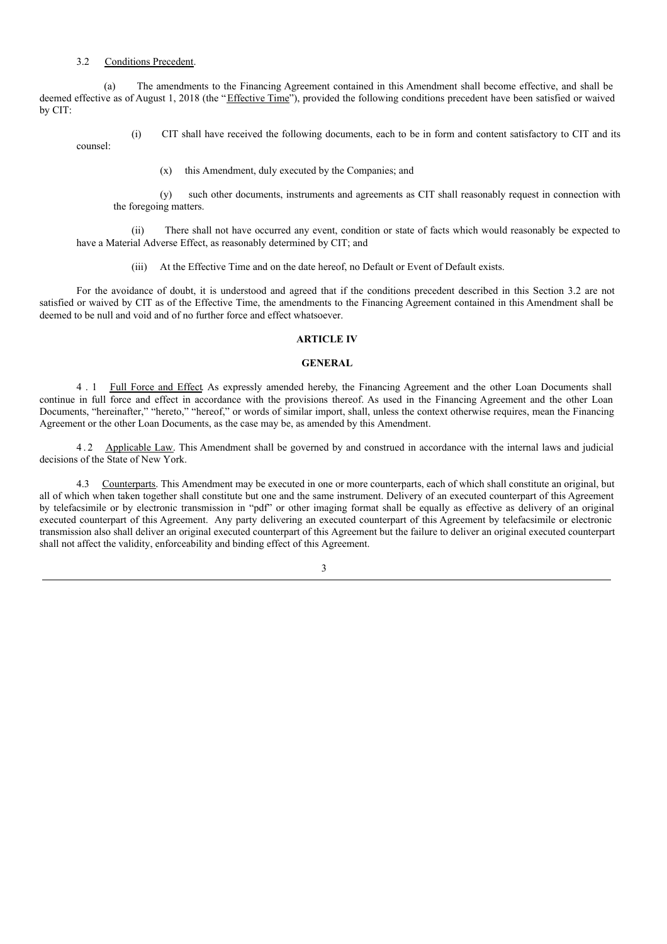### 3.2 Conditions Precedent.

(a) The amendments to the Financing Agreement contained in this Amendment shall become effective, and shall be deemed effective as of August 1, 2018 (the "*Effective Time*"), provided the following conditions precedent have been satisfied or waived by CIT:

(i) CIT shall have received the following documents, each to be in form and content satisfactory to CIT and its counsel:

(x) this Amendment, duly executed by the Companies; and

(y) such other documents, instruments and agreements as CIT shall reasonably request in connection with the foregoing matters.

(ii) There shall not have occurred any event, condition or state of facts which would reasonably be expected to have a Material Adverse Effect, as reasonably determined by CIT; and

(iii) At the Effective Time and on the date hereof, no Default or Event of Default exists.

For the avoidance of doubt, it is understood and agreed that if the conditions precedent described in this Section 3.2 are not satisfied or waived by CIT as of the Effective Time, the amendments to the Financing Agreement contained in this Amendment shall be deemed to be null and void and of no further force and effect whatsoever.

### **ARTICLE IV**

## **GENERAL**

4 . 1 Full Force and Effect. As expressly amended hereby, the Financing Agreement and the other Loan Documents shall continue in full force and effect in accordance with the provisions thereof. As used in the Financing Agreement and the other Loan Documents, "hereinafter," "hereto," "hereof," or words of similar import, shall, unless the context otherwise requires, mean the Financing Agreement or the other Loan Documents, as the case may be, as amended by this Amendment.

4.2 Applicable Law. This Amendment shall be governed by and construed in accordance with the internal laws and judicial decisions of the State of New York.

4.3 Counterparts. This Amendment may be executed in one or more counterparts, each of which shall constitute an original, but all of which when taken together shall constitute but one and the same instrument. Delivery of an executed counterpart of this Agreement by telefacsimile or by electronic transmission in "pdf" or other imaging format shall be equally as effective as delivery of an original executed counterpart of this Agreement. Any party delivering an executed counterpart of this Agreement by telefacsimile or electronic transmission also shall deliver an original executed counterpart of this Agreement but the failure to deliver an original executed counterpart shall not affect the validity, enforceability and binding effect of this Agreement.

3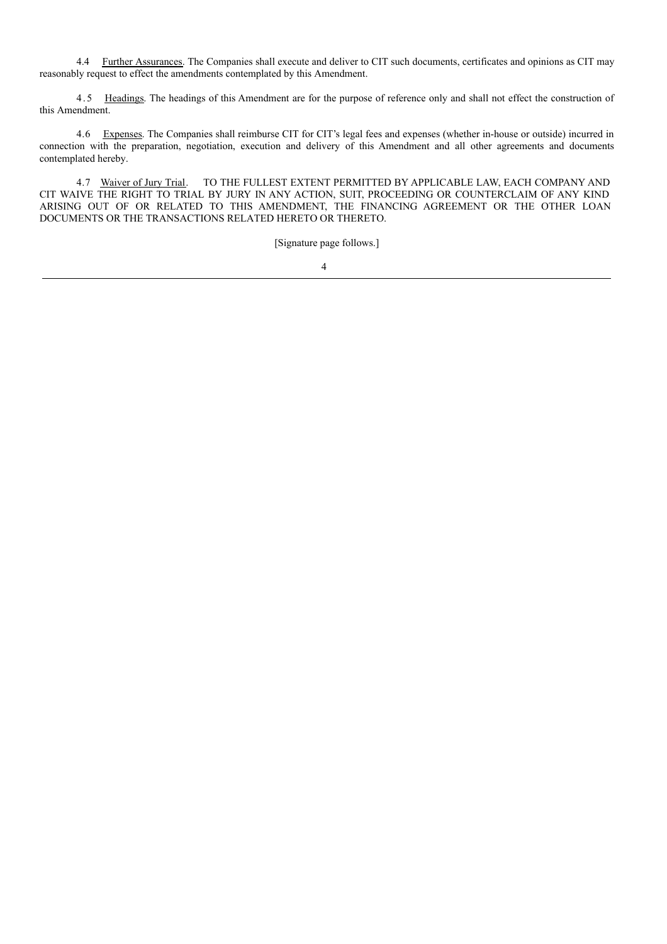4.4 Further Assurances. The Companies shall execute and deliver to CIT such documents, certificates and opinions as CIT may reasonably request to effect the amendments contemplated by this Amendment.

4.5 Headings. The headings of this Amendment are for the purpose of reference only and shall not effect the construction of this Amendment.

4.6 Expenses. The Companies shall reimburse CIT for CIT's legal fees and expenses (whether in-house or outside) incurred in connection with the preparation, negotiation, execution and delivery of this Amendment and all other agreements and documents contemplated hereby.

4.7 Waiver of Jury Trial. TO THE FULLEST EXTENT PERMITTED BY APPLICABLE LAW, EACH COMPANY AND CIT WAIVE THE RIGHT TO TRIAL BY JURY IN ANY ACTION, SUIT, PROCEEDING OR COUNTERCLAIM OF ANY KIND ARISING OUT OF OR RELATED TO THIS AMENDMENT, THE FINANCING AGREEMENT OR THE OTHER LOAN DOCUMENTS OR THE TRANSACTIONS RELATED HERETO OR THERETO.

[Signature page follows.]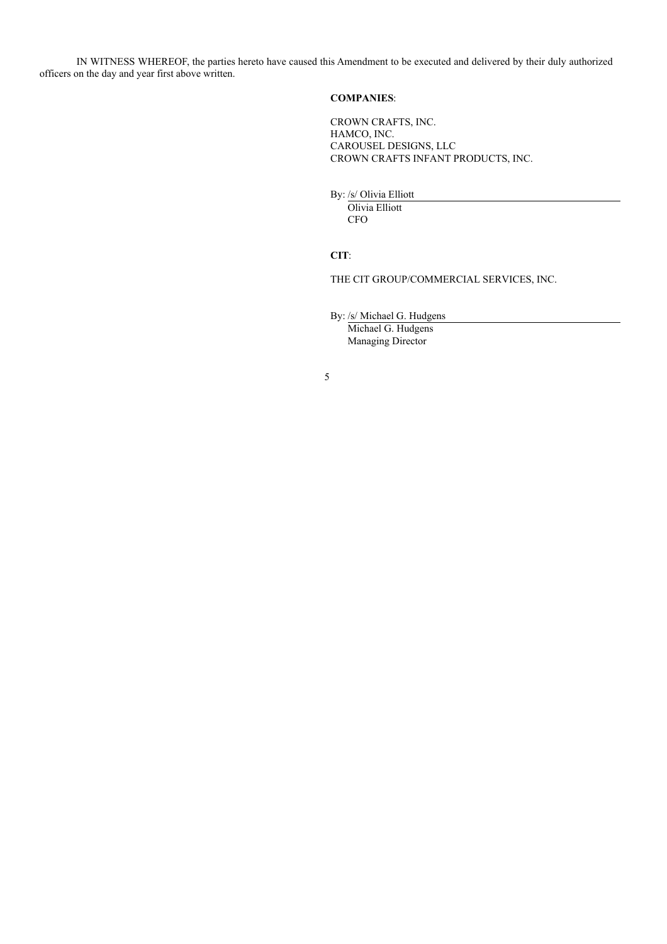IN WITNESS WHEREOF, the parties hereto have caused this Amendment to be executed and delivered by their duly authorized officers on the day and year first above written.

## **COMPANIES**:

CROWN CRAFTS, INC. HAMCO, INC. CAROUSEL DESIGNS, LLC CROWN CRAFTS INFANT PRODUCTS, INC.

By: /s/ Olivia Elliott

Olivia Elliott CFO

**CIT**:

THE CIT GROUP/COMMERCIAL SERVICES, INC.

By: /s/ Michael G. Hudgens Michael G. Hudgens

Managing Director

5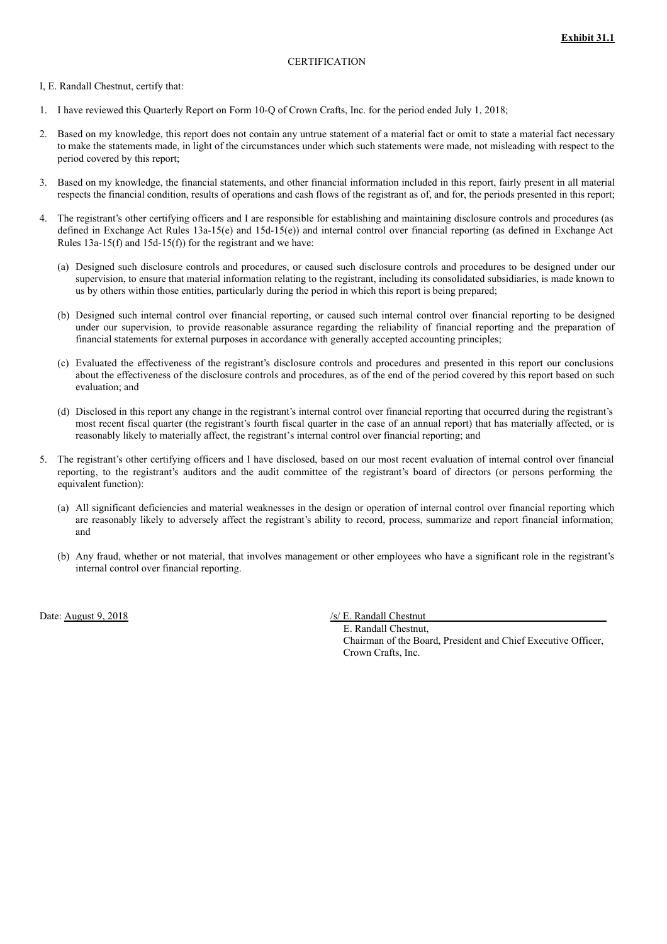I, E. Randall Chestnut, certify that:

- 1. I have reviewed this Quarterly Report on Form 10-Q of Crown Crafts, Inc. for the period ended July 1, 2018;
- 2. Based on my knowledge, this report does not contain any untrue statement of a material fact or omit to state a material fact necessary to make the statements made, in light of the circumstances under which such statements were made, not misleading with respect to the period covered by this report;
- 3. Based on my knowledge, the financial statements, and other financial information included in this report, fairly present in all material respects the financial condition, results of operations and cash flows of the registrant as of, and for, the periods presented in this report;
- 4. The registrant's other certifying officers and I are responsible for establishing and maintaining disclosure controls and procedures (as defined in Exchange Act Rules 13a-15(e) and 15d-15(e)) and internal control over financial reporting (as defined in Exchange Act Rules 13a-15(f) and 15d-15(f)) for the registrant and we have:
	- (a) Designed such disclosure controls and procedures, or caused such disclosure controls and procedures to be designed under our supervision, to ensure that material information relating to the registrant, including its consolidated subsidiaries, is made known to us by others within those entities, particularly during the period in which this report is being prepared;
	- (b) Designed such internal control over financial reporting, or caused such internal control over financial reporting to be designed under our supervision, to provide reasonable assurance regarding the reliability of financial reporting and the preparation of financial statements for external purposes in accordance with generally accepted accounting principles;
	- (c) Evaluated the effectiveness of the registrant's disclosure controls and procedures and presented in this report our conclusions about the effectiveness of the disclosure controls and procedures, as of the end of the period covered by this report based on such evaluation; and
	- (d) Disclosed in this report any change in the registrant's internal control over financial reporting that occurred during the registrant's most recent fiscal quarter (the registrant's fourth fiscal quarter in the case of an annual report) that has materially affected, or is reasonably likely to materially affect, the registrant's internal control over financial reporting; and
- 5. The registrant's other certifying officers and I have disclosed, based on our most recent evaluation of internal control over financial reporting, to the registrant's auditors and the audit committee of the registrant's board of directors (or persons performing the equivalent function):
	- (a) All significant deficiencies and material weaknesses in the design or operation of internal control over financial reporting which are reasonably likely to adversely affect the registrant's ability to record, process, summarize and report financial information; and
	- (b) Any fraud, whether or not material, that involves management or other employees who have a significant role in the registrant's internal control over financial reporting.

Date: August 9, 2018 /s/ E. Randall Chestnut

E. Randall Chestnut, Chairman of the Board, President and Chief Executive Officer, Crown Crafts, Inc.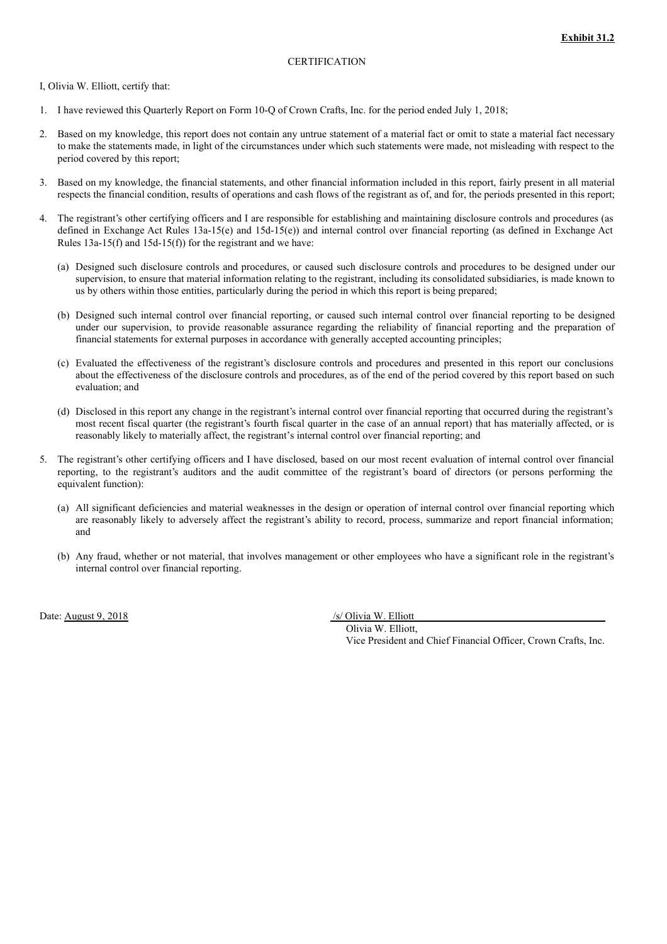I, Olivia W. Elliott, certify that:

- 1. I have reviewed this Quarterly Report on Form 10-Q of Crown Crafts, Inc. for the period ended July 1, 2018;
- 2. Based on my knowledge, this report does not contain any untrue statement of a material fact or omit to state a material fact necessary to make the statements made, in light of the circumstances under which such statements were made, not misleading with respect to the period covered by this report;
- 3. Based on my knowledge, the financial statements, and other financial information included in this report, fairly present in all material respects the financial condition, results of operations and cash flows of the registrant as of, and for, the periods presented in this report;
- 4. The registrant's other certifying officers and I are responsible for establishing and maintaining disclosure controls and procedures (as defined in Exchange Act Rules 13a-15(e) and 15d-15(e)) and internal control over financial reporting (as defined in Exchange Act Rules 13a-15(f) and 15d-15(f)) for the registrant and we have:
	- (a) Designed such disclosure controls and procedures, or caused such disclosure controls and procedures to be designed under our supervision, to ensure that material information relating to the registrant, including its consolidated subsidiaries, is made known to us by others within those entities, particularly during the period in which this report is being prepared;
	- (b) Designed such internal control over financial reporting, or caused such internal control over financial reporting to be designed under our supervision, to provide reasonable assurance regarding the reliability of financial reporting and the preparation of financial statements for external purposes in accordance with generally accepted accounting principles;
	- (c) Evaluated the effectiveness of the registrant's disclosure controls and procedures and presented in this report our conclusions about the effectiveness of the disclosure controls and procedures, as of the end of the period covered by this report based on such evaluation; and
	- (d) Disclosed in this report any change in the registrant's internal control over financial reporting that occurred during the registrant's most recent fiscal quarter (the registrant's fourth fiscal quarter in the case of an annual report) that has materially affected, or is reasonably likely to materially affect, the registrant's internal control over financial reporting; and
- 5. The registrant's other certifying officers and I have disclosed, based on our most recent evaluation of internal control over financial reporting, to the registrant's auditors and the audit committee of the registrant's board of directors (or persons performing the equivalent function):
	- (a) All significant deficiencies and material weaknesses in the design or operation of internal control over financial reporting which are reasonably likely to adversely affect the registrant's ability to record, process, summarize and report financial information; and
	- (b) Any fraud, whether or not material, that involves management or other employees who have a significant role in the registrant's internal control over financial reporting.

Date: August 9, 2018 /s/ Olivia W. Elliott

Olivia W. Elliott, Vice President and Chief Financial Officer, Crown Crafts, Inc.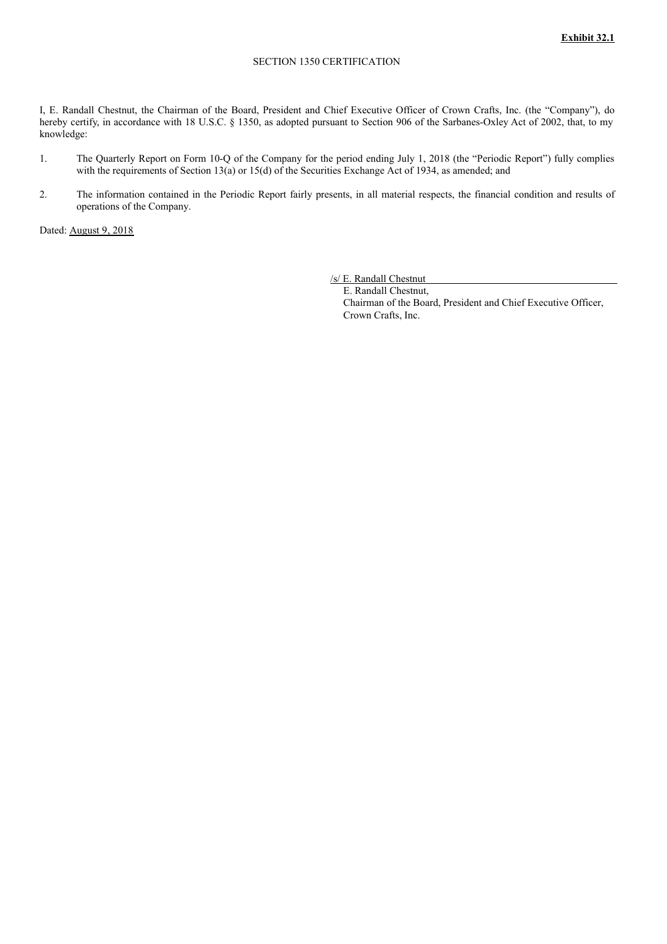### SECTION 1350 CERTIFICATION

I, E. Randall Chestnut, the Chairman of the Board, President and Chief Executive Officer of Crown Crafts, Inc. (the "Company"), do hereby certify, in accordance with 18 U.S.C. § 1350, as adopted pursuant to Section 906 of the Sarbanes-Oxley Act of 2002, that, to my knowledge:

- 1. The Quarterly Report on Form 10-Q of the Company for the period ending July 1, 2018 (the "Periodic Report") fully complies with the requirements of Section 13(a) or 15(d) of the Securities Exchange Act of 1934, as amended; and
- 2. The information contained in the Periodic Report fairly presents, in all material respects, the financial condition and results of operations of the Company.

Dated: August 9, 2018

/s/ E. Randall Chestnut

E. Randall Chestnut, Chairman of the Board, President and Chief Executive Officer, Crown Crafts, Inc.